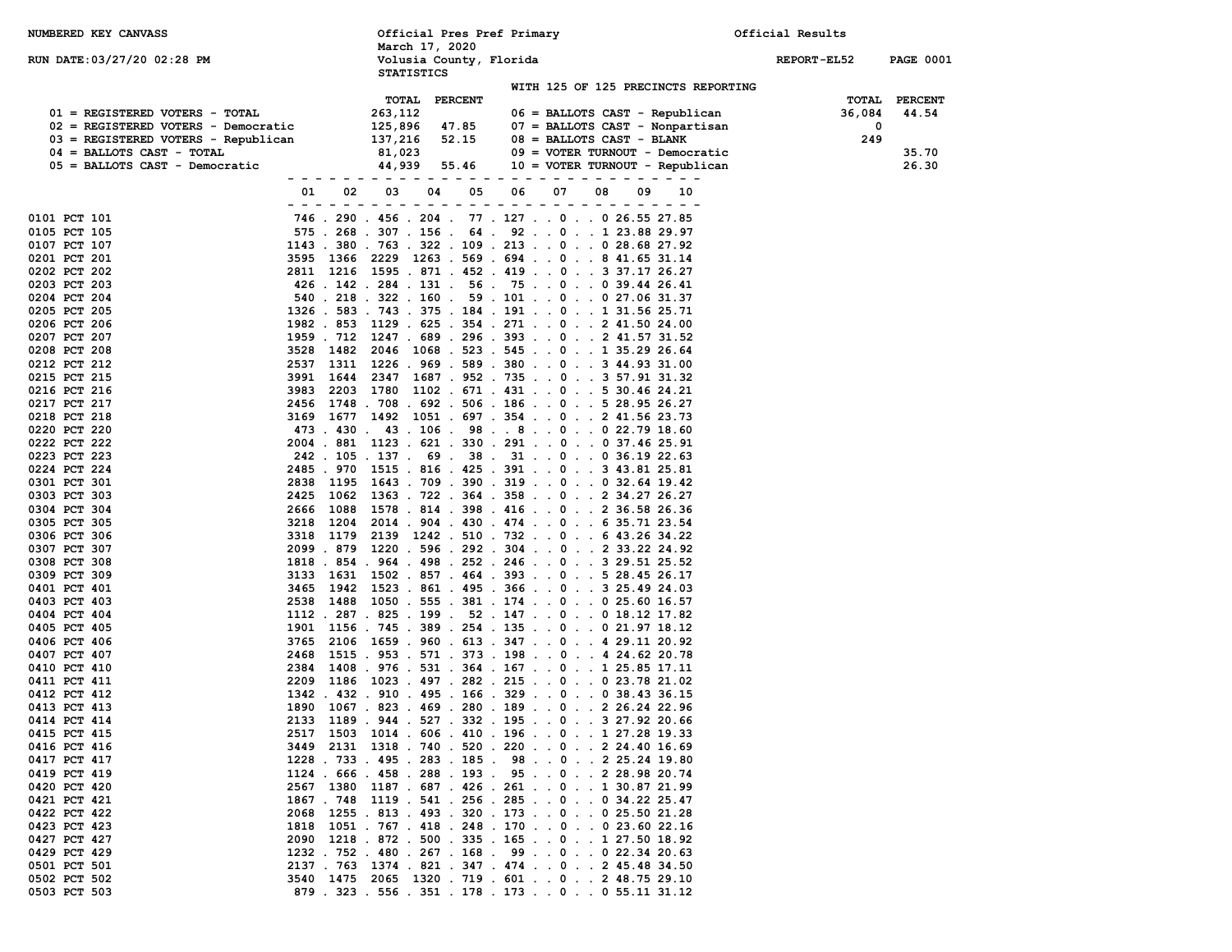| NUMBERED KEY CANVASS                |               |                                     |                          | Official Pres Pref Primary                                                                            |                                     | Official Results   |                  |
|-------------------------------------|---------------|-------------------------------------|--------------------------|-------------------------------------------------------------------------------------------------------|-------------------------------------|--------------------|------------------|
| RUN DATE: 03/27/20 02:28 PM         |               | March 17, 2020<br><b>STATISTICS</b> | Volusia County, Florida  |                                                                                                       |                                     | <b>REPORT-EL52</b> | <b>PAGE 0001</b> |
|                                     |               |                                     |                          |                                                                                                       | WITH 125 OF 125 PRECINCTS REPORTING |                    |                  |
|                                     |               | <b>TOTAL</b>                        | <b>PERCENT</b>           |                                                                                                       |                                     | TOTAL              | <b>PERCENT</b>   |
| 01 = REGISTERED VOTERS - TOTAL      |               | 263,112                             |                          | 06 = BALLOTS CAST - Republican                                                                        |                                     | 36,084             | 44.54            |
| 02 = REGISTERED VOTERS - Democratic |               | 125,896                             | 47.85                    |                                                                                                       | 07 = BALLOTS CAST - Nonpartisan     | 0                  |                  |
| 03 = REGISTERED VOTERS - Republican |               | 137,216                             | 52.15                    | $08$ = BALLOTS CAST - BLANK                                                                           |                                     | 249                |                  |
| $04$ = BALLOTS CAST - TOTAL         |               | 81,023                              |                          |                                                                                                       | 09 = VOTER TURNOUT - Democratic     |                    | 35.70<br>26.30   |
| 05 = BALLOTS CAST - Democratic      |               | 44,939                              | 55.46                    |                                                                                                       | 10 = VOTER TURNOUT - Republican     |                    |                  |
|                                     | 01<br>02      | 03<br>04                            | 05                       | 06<br>07<br>08                                                                                        | 09<br>10                            |                    |                  |
|                                     | - - -<br>$ -$ |                                     | $\overline{\phantom{0}}$ |                                                                                                       | $ -$                                |                    |                  |
| 0101 PCT 101                        |               |                                     |                          | 746 . 290 . 456 . 204 . 77 . 127 0 0 26.55 27.85                                                      |                                     |                    |                  |
| 0105 PCT 105                        |               |                                     |                          | 575 . 268 . 307 . 156 . 64 . 92 0 1 23.88 29.97                                                       |                                     |                    |                  |
| 0107 PCT 107                        |               |                                     |                          | 1143 . 380 . 763 . 322 . 109 . 213 0 0 28.68 27.92                                                    |                                     |                    |                  |
| 0201 PCT 201<br>0202 PCT 202        |               |                                     |                          | 3595 1366 2229 1263 . 569 . 694 0 8 41.65 31.14<br>2811 1216 1595 .871 .452 .419 03 37.17 26.27       |                                     |                    |                  |
| 0203 PCT 203                        |               |                                     |                          | 426 . 142 . 284 . 131 . 56 . 75 0 0 39.44 26.41                                                       |                                     |                    |                  |
| 0204 PCT 204                        |               |                                     |                          | 540 . 218 . 322 . 160 . 59 . 101 0 0 27.06 31.37                                                      |                                     |                    |                  |
| 0205 PCT 205                        |               |                                     |                          | 1326 . 583 . 743 . 375 . 184 . 191 0 1 31.56 25.71                                                    |                                     |                    |                  |
| 0206 PCT 206                        |               |                                     |                          | 1982 . 853 1129 . 625 . 354 . 271 0 2 41.50 24.00                                                     |                                     |                    |                  |
| 0207 PCT 207                        |               |                                     |                          | 1959 . 712 1247 . 689 . 296 . 393 0 2 41.57 31.52                                                     |                                     |                    |                  |
| 0208 PCT 208                        | 3528 1482     |                                     |                          | 2046 1068 . 523 . 545 0 1 35.29 26.64                                                                 |                                     |                    |                  |
| 0212 PCT 212                        | 2537 1311     |                                     |                          | 1226 . 969 . 589 . 380 0 3 44.93 31.00                                                                |                                     |                    |                  |
| 0215 PCT 215                        | 3991 1644     |                                     |                          | 2347 1687 . 952 . 735 0 3 57.91 31.32                                                                 |                                     |                    |                  |
| 0216 PCT 216<br>0217 PCT 217        | 3983          |                                     |                          | 2203 1780 1102 . 671 . 431 0 5 30.46 24.21<br>2456 1748 . 708 . 692 . 506 . 186 0 5 28.95 26.27       |                                     |                    |                  |
| 0218 PCT 218                        | 3169 1677     |                                     |                          | 1492 1051 . 697 . 354 0 2 41.56 23.73                                                                 |                                     |                    |                  |
| 0220 PCT 220                        |               |                                     |                          | 473 . 430 . 43 . 106 . 98 8 0 0 22.79 18.60                                                           |                                     |                    |                  |
| 0222 PCT 222                        |               |                                     |                          | 2004 . 881 1123 . 621 . 330 . 291 0 0 37.46 25.91                                                     |                                     |                    |                  |
| 0223 PCT 223                        |               |                                     |                          | 242 . 105 . 137 . 69 . 38 . 31 0 0 36.19 22.63                                                        |                                     |                    |                  |
| 0224 PCT 224                        |               |                                     |                          | 2485 . 970 1515 . 816 . 425 . 391 0 3 43.81 25.81                                                     |                                     |                    |                  |
| 0301 PCT 301                        | 2838 1195     |                                     |                          | 1643 . 709 . 390 . 319 0 0 32.64 19.42                                                                |                                     |                    |                  |
| 0303 PCT 303                        | 2425 1062     |                                     |                          | 1363 . 722 . 364 . 358 0 2 34.27 26.27                                                                |                                     |                    |                  |
| 0304 PCT 304                        |               |                                     |                          | 2666 1088 1578 .814 .398 .416 0236.5826.36                                                            |                                     |                    |                  |
| 0305 PCT 305<br>0306 PCT 306        | 3218 1204     |                                     |                          | 2014 . 904 . 430 . 474 0 6 35.71 23.54<br>3318 1179 2139 1242 .510 .732 0. .643.2634.22               |                                     |                    |                  |
| 0307 PCT 307                        |               |                                     |                          | 2099 . 879 1220 . 596 . 292 . 304 0 2 33.22 24.92                                                     |                                     |                    |                  |
| 0308 PCT 308                        |               |                                     |                          | 1818 . 854 . 964 . 498 . 252 . 246 0 3 29.51 25.52                                                    |                                     |                    |                  |
| 0309 PCT 309                        |               |                                     |                          | 3133 1631 1502 . 857 . 464 . 393 0 5 28.45 26.17                                                      |                                     |                    |                  |
| 0401 PCT 401                        |               |                                     |                          | 3465 1942 1523 . 861 . 495 . 366 0 3 25.49 24.03                                                      |                                     |                    |                  |
| 0403 PCT 403                        | 2538          |                                     |                          | 1488 1050 . 555 . 381 . 174 0 0 25.60 16.57                                                           |                                     |                    |                  |
| 0404 PCT 404                        |               |                                     |                          | $1112$ . 287 . 825 . 199 . 52 . 147 0 0 18.12 17.82                                                   |                                     |                    |                  |
| 0405 PCT 405                        |               |                                     |                          | 1901 1156 . 745 . 389 . 254 . 135 0 0 21.97 18.12                                                     |                                     |                    |                  |
| 0406 PCT 406<br>0407 PCT 407        | 3765          |                                     |                          | 2106 1659 . 960 . 613 . 347 0 4 29.11 20.92                                                           |                                     |                    |                  |
| 0410 PCT 410                        | 2384          |                                     |                          | 2468 1515 . 953 . 571 . 373 . 198 0 4 24.62 20.78<br>1408 . 976 . 531 . 364 . 167 0 1 25.85 17.11     |                                     |                    |                  |
| 0411 PCT 411                        | 2209          |                                     |                          | 1186 1023 . 497 . 282 . 215 0 0 23.78 21.02                                                           |                                     |                    |                  |
| 0412 PCT 412                        |               |                                     |                          | 1342 . 432 . 910 . 495 . 166 . 329 0 0 38.43 36.15                                                    |                                     |                    |                  |
| 0413 PCT 413                        |               |                                     |                          | 1890 1067 . 823 . 469 . 280 . 189 0 2 26.24 22.96                                                     |                                     |                    |                  |
| 0414 PCT 414                        |               |                                     |                          | 2133 1189 . 944 . 527 . 332 . 195 0 3 27.92 20.66                                                     |                                     |                    |                  |
| 0415 PCT 415                        |               |                                     |                          | 2517 1503 1014 .606 .410 .196 01 27.28 19.33                                                          |                                     |                    |                  |
| 0416 PCT 416                        |               |                                     |                          | 3449 2131 1318 . 740 . 520 . 220 0 2 24.40 16.69                                                      |                                     |                    |                  |
| 0417 PCT 417                        |               |                                     |                          | 1228 . 733 . 495 . 283 . 185 . 98 0 2 25.24 19.80                                                     |                                     |                    |                  |
| 0419 PCT 419<br>0420 PCT 420        |               |                                     |                          | 1124 . 666 . 458 . 288 . 193 . 95 0 2 28.98 20.74<br>2567 1380 1187 . 687 . 426 . 261 0 1 30.87 21.99 |                                     |                    |                  |
| 0421 PCT 421                        |               |                                     |                          | 1867 . 748 1119 . 541 . 256 . 285 0 0 34.22 25.47                                                     |                                     |                    |                  |
| 0422 PCT 422                        |               |                                     |                          | 2068 1255 . 813 . 493 . 320 . 173 0 0 25.50 21.28                                                     |                                     |                    |                  |
| 0423 PCT 423                        |               |                                     |                          | 1818 1051 . 767 . 418 . 248 . 170 0 0 23.60 22.16                                                     |                                     |                    |                  |
| 0427 PCT 427                        |               |                                     |                          | 2090 1218 . 872 . 500 . 335 . 165 0 1 27.50 18.92                                                     |                                     |                    |                  |
| 0429 PCT 429                        |               |                                     |                          | 1232 . 752 . 480 . 267 . 168 . 99 0 0 22.34 20.63                                                     |                                     |                    |                  |
| 0501 PCT 501                        |               |                                     |                          | 2137 . 763 1374 . 821 . 347 . 474 0 2 45.48 34.50                                                     |                                     |                    |                  |
| 0502 PCT 502                        |               |                                     |                          | 3540   1475   2065   1320  .  719  .  601  .   .  0  .   .  2  48.75  29.10                           |                                     |                    |                  |
| 0503 PCT 503                        |               |                                     |                          | 879 . 323 . 556 . 351 . 178 . 173 0 0 55.11 31.12                                                     |                                     |                    |                  |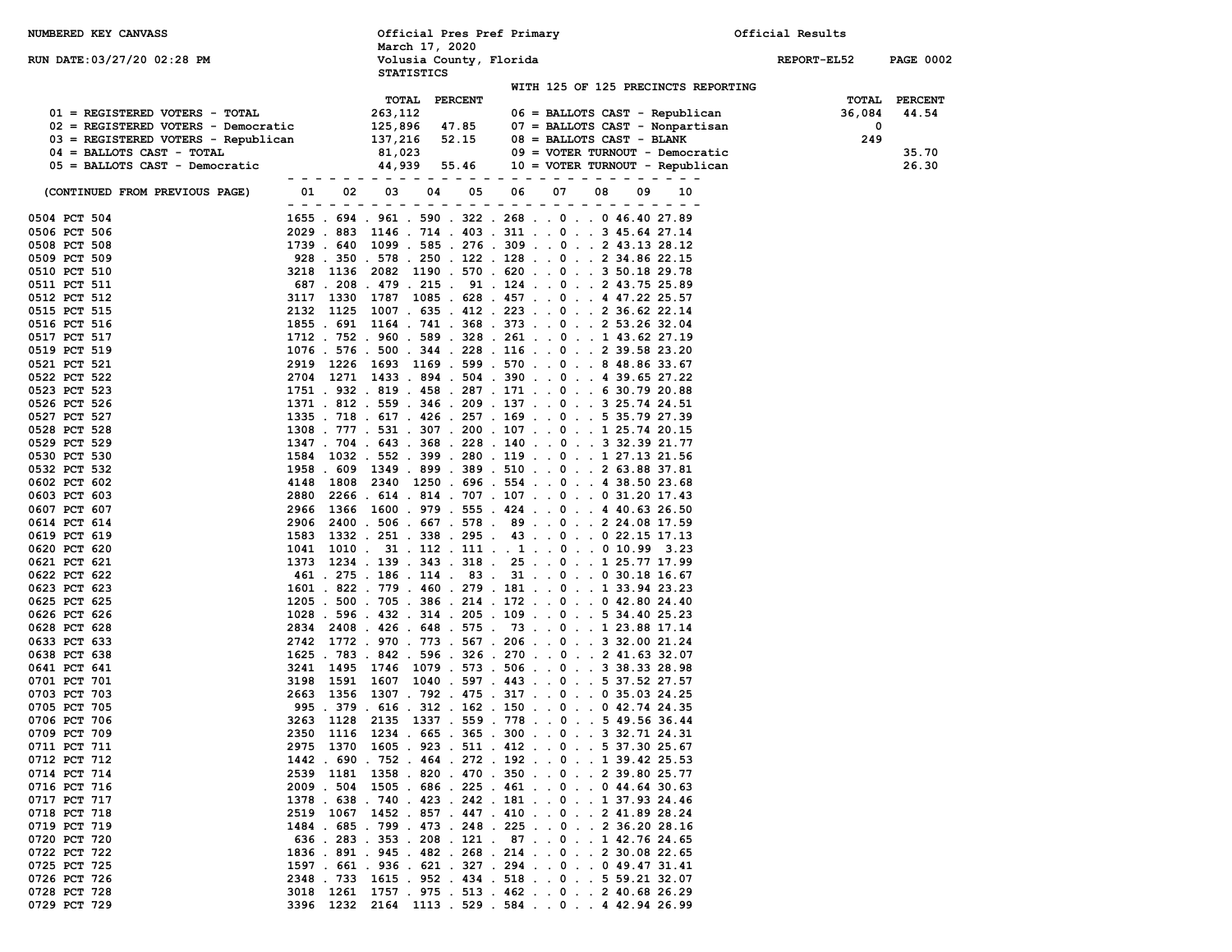| NUMBERED KEY CANVASS                                                  |              |                                     |                         | Official Pres Pref Primary                                                                               |                                     | Official Results |                  |
|-----------------------------------------------------------------------|--------------|-------------------------------------|-------------------------|----------------------------------------------------------------------------------------------------------|-------------------------------------|------------------|------------------|
| RUN DATE: 03/27/20 02:28 PM                                           |              | March 17, 2020<br><b>STATISTICS</b> | Volusia County, Florida |                                                                                                          |                                     | REPORT-EL52      | <b>PAGE 0002</b> |
|                                                                       |              |                                     |                         |                                                                                                          | WITH 125 OF 125 PRECINCTS REPORTING |                  |                  |
|                                                                       |              | TOTAL                               | <b>PERCENT</b>          |                                                                                                          |                                     | TOTAL            | <b>PERCENT</b>   |
| 01 = REGISTERED VOTERS - TOTAL<br>02 = REGISTERED VOTERS - Democratic |              | 263,112<br>125,896                  | 47.85                   | 06 = BALLOTS CAST - Republican<br>07 = BALLOTS CAST - Nonpartisan                                        |                                     | 36,084<br>0      | 44.54            |
| 03 = REGISTERED VOTERS - Republican                                   |              | 137,216                             | 52.15                   | $08$ = BALLOTS CAST - BLANK                                                                              |                                     | 249              |                  |
| $04$ = BALLOTS CAST - TOTAL                                           |              | 81,023                              |                         | 09 = VOTER TURNOUT - Democratic                                                                          |                                     |                  | 35.70            |
| 05 = BALLOTS CAST - Democratic                                        |              | 44,939                              | 55.46                   | 10 = VOTER TURNOUT - Republican                                                                          |                                     |                  | 26.30            |
|                                                                       |              |                                     |                         |                                                                                                          |                                     |                  |                  |
| (CONTINUED FROM PREVIOUS PAGE)                                        | 02<br>01     | 03                                  | 05<br>04                | 06<br>07<br>08                                                                                           | 09<br>10                            |                  |                  |
|                                                                       |              |                                     |                         |                                                                                                          |                                     |                  |                  |
| 0504 PCT 504                                                          |              |                                     |                         | 1655 . 694 . 961 . 590 . 322 . 268 0 0 46.40 27.89                                                       |                                     |                  |                  |
| 0506 PCT 506                                                          | 2029.883     |                                     |                         | 1146 . 714 . 403 . 311 0 3 45.64 27.14                                                                   |                                     |                  |                  |
| 0508 PCT 508                                                          | 1739.640     |                                     |                         | 1099 . 585 . 276 . 309 0 2 43.13 28.12                                                                   |                                     |                  |                  |
| 0509 PCT 509<br>0510 PCT 510                                          | 3218 1136    |                                     |                         | 928 . 350 . 578 . 250 . 122 . 128 0 2 34.86 22.15<br>2082 1190 . 570 . 620 0 3 50.18 29.78               |                                     |                  |                  |
| 0511 PCT 511                                                          |              |                                     |                         | 687 . 208 . 479 . 215 . 91 . 124 0 2 43.75 25.89                                                         |                                     |                  |                  |
| 0512 PCT 512                                                          | 3117 1330    |                                     |                         | 1787 1085 . 628 . 457 0 4 47.22 25.57                                                                    |                                     |                  |                  |
| 0515 PCT 515                                                          | 2132 1125    |                                     |                         | 1007 . 635 . 412 . 223 0 2 36.62 22.14                                                                   |                                     |                  |                  |
| 0516 PCT 516                                                          |              |                                     |                         | 1855 . 691 1164 . 741 . 368 . 373 0 2 53.26 32.04                                                        |                                     |                  |                  |
| 0517 PCT 517                                                          |              |                                     |                         | 1712 . 752 . 960 . 589 . 328 . 261 0 1 43.62 27.19                                                       |                                     |                  |                  |
| 0519 PCT 519                                                          |              |                                     |                         | 1076 . 576 . 500 . 344 . 228 . 116 0 2 39.58 23.20                                                       |                                     |                  |                  |
| 0521 PCT 521                                                          |              |                                     |                         | 2919 1226 1693 1169 . 599 . 570 0 8 48.86 33.67                                                          |                                     |                  |                  |
| 0522 PCT 522                                                          |              |                                     |                         | 2704 1271 1433 .894 .504 .390 0. .439.65 27.22                                                           |                                     |                  |                  |
| 0523 PCT 523                                                          |              |                                     |                         | 1751 . 932 . 819 . 458 . 287 . 171 0 6 30.79 20.88                                                       |                                     |                  |                  |
| 0526 PCT 526                                                          |              |                                     |                         | 1371 . 812 . 559 . 346 . 209 . 137 0 3 25.74 24.51                                                       |                                     |                  |                  |
| 0527 PCT 527                                                          |              |                                     |                         | 1335 . 718 . 617 . 426 . 257 . 169 0 5 35.79 27.39                                                       |                                     |                  |                  |
| 0528 PCT 528<br>0529 PCT 529                                          |              |                                     |                         | 1308 . 777 . 531 . 307 . 200 . 107 0 1 25.74 20.15<br>1347 . 704 . 643 . 368 . 228 . 140 0 3 32.39 21.77 |                                     |                  |                  |
| 0530 PCT 530                                                          |              |                                     |                         | 1584 1032 . 552 . 399 . 280 . 119 0 1 27.13 21.56                                                        |                                     |                  |                  |
| 0532 PCT 532                                                          |              |                                     |                         | 1958 . 609 1349 . 899 . 389 . 510 0 2 63.88 37.81                                                        |                                     |                  |                  |
| 0602 PCT 602                                                          | 4148         |                                     |                         |                                                                                                          |                                     |                  |                  |
| 0603 PCT 603                                                          | 2880         |                                     |                         | 2266 . 614 . 814 . 707 . 107 0 0 31.20 17.43                                                             |                                     |                  |                  |
| 0607 PCT 607                                                          | 2966         |                                     |                         | 1366 1600 . 979 . 555 . 424 0 4 40.63 26.50                                                              |                                     |                  |                  |
| 0614 PCT 614                                                          | 2906         |                                     |                         | 2400 . 506 . 667 . 578 . 89 0 2 24.08 17.59                                                              |                                     |                  |                  |
| 0619 PCT 619                                                          | 1583         |                                     |                         | 1332 . 251 . 338 . 295 . 43 0 0 22.15 17.13                                                              |                                     |                  |                  |
| 0620 PCT 620                                                          | 1041         |                                     |                         | $1010$ . 31 . 112 . 111 1 0 0 10.99 3.23                                                                 |                                     |                  |                  |
| 0621 PCT 621                                                          | 1373         |                                     |                         | 1234 . 139 . 343 . 318 . 25 0 1 25.77 17.99                                                              |                                     |                  |                  |
| 0622 PCT 622<br>0623 PCT 623                                          |              |                                     |                         | 461 . 275 . 186 . 114 . 83 . 31 0 0 30.18 16.67<br>1601 . 822 . 779 . 460 . 279 . 181 0 1 33.94 23.23    |                                     |                  |                  |
| 0625 PCT 625                                                          |              |                                     |                         | 1205 . 500 . 705 . 386 . 214 . 172 0 0 42.80 24.40                                                       |                                     |                  |                  |
| 0626 PCT 626                                                          |              |                                     |                         | 1028 . 596 . 432 . 314 . 205 . 109 0 5 34.40 25.23                                                       |                                     |                  |                  |
| 0628 PCT 628                                                          |              |                                     |                         | 2834 2408 . 426 . 648 . 575 . 73 0 1 23.88 17.14                                                         |                                     |                  |                  |
| 0633 PCT 633                                                          | 2742         |                                     |                         | 1772 . 970 . 773 . 567 . 206 0 3 32.00 21.24                                                             |                                     |                  |                  |
| 0638 PCT 638                                                          |              |                                     |                         | 1625 . 783 . 842 . 596 . 326 . 270 0 2 41.63 32.07                                                       |                                     |                  |                  |
| 0641 PCT 641                                                          | 1495<br>3241 |                                     |                         | 1746 1079 . 573 . 506 0 3 38.33 28.98                                                                    |                                     |                  |                  |
| 0701 PCT 701                                                          | 3198<br>1591 |                                     |                         | 1607 1040 . 597 . 443 0 5 37.52 27.57                                                                    |                                     |                  |                  |
| 0703 PCT 703                                                          | 2663 1356    |                                     |                         | 1307 . 792 . 475 . 317 0 0 35.03 24.25                                                                   |                                     |                  |                  |
| 0705 PCT 705                                                          |              |                                     |                         | 995 . 379 . 616 . 312 . 162 . 150 0 0 42.74 24.35                                                        |                                     |                  |                  |
| 0706 PCT 706                                                          |              |                                     |                         | 3263 1128 2135 1337 . 559 . 778 0 5 49.56 36.44                                                          |                                     |                  |                  |
| 0709 PCT 709<br>0711 PCT 711                                          |              |                                     |                         | 2350 1116 1234 . 665 . 365 . 300 0 3 32.71 24.31<br>2975 1370 1605 . 923 . 511 . 412 0 5 37.30 25.67     |                                     |                  |                  |
| 0712 PCT 712                                                          |              |                                     |                         | 1442 . 690 . 752 . 464 . 272 . 192 0 1 39.42 25.53                                                       |                                     |                  |                  |
| 0714 PCT 714                                                          |              |                                     |                         | 2539 1181 1358 .820 .470 .350 0. .239.8025.77                                                            |                                     |                  |                  |
| 0716 PCT 716                                                          |              |                                     |                         | 2009 . 504 1505 . 686 . 225 . 461 0 0 44.64 30.63                                                        |                                     |                  |                  |
| 0717 PCT 717                                                          |              |                                     |                         | 1378 . 638 . 740 . 423 . 242 . 181 0 1 37.93 24.46                                                       |                                     |                  |                  |
| 0718 PCT 718                                                          |              |                                     |                         | 2519 1067 1452 . 857 . 447 . 410 0 2 41.89 28.24                                                         |                                     |                  |                  |
| 0719 PCT 719                                                          |              |                                     |                         | 1484 . 685 . 799 . 473 . 248 . 225 0 2 36.20 28.16                                                       |                                     |                  |                  |
| 0720 PCT 720                                                          |              |                                     |                         | 636 . 283 . 353 . 208 . 121 . 87 0 1 42.76 24.65                                                         |                                     |                  |                  |
| 0722 PCT 722                                                          |              |                                     |                         | 1836 . 891 . 945 . 482 . 268 . 214 0 2 30.08 22.65                                                       |                                     |                  |                  |
| 0725 PCT 725                                                          |              |                                     |                         | 1597 . 661 . 936 . 621 . 327 . 294 0 0 49.47 31.41                                                       |                                     |                  |                  |
| 0726 PCT 726                                                          |              |                                     |                         | 2348 . 733 1615 . 952 . 434 . 518 0 5 59.21 32.07                                                        |                                     |                  |                  |
| 0728 PCT 728<br>0729 PCT 729                                          |              |                                     |                         | 3018 1261 1757 . 975 . 513 . 462 0 2 40.68 26.29<br>3396 1232 2164 1113 .529 .584 04 42.94 26.99         |                                     |                  |                  |
|                                                                       |              |                                     |                         |                                                                                                          |                                     |                  |                  |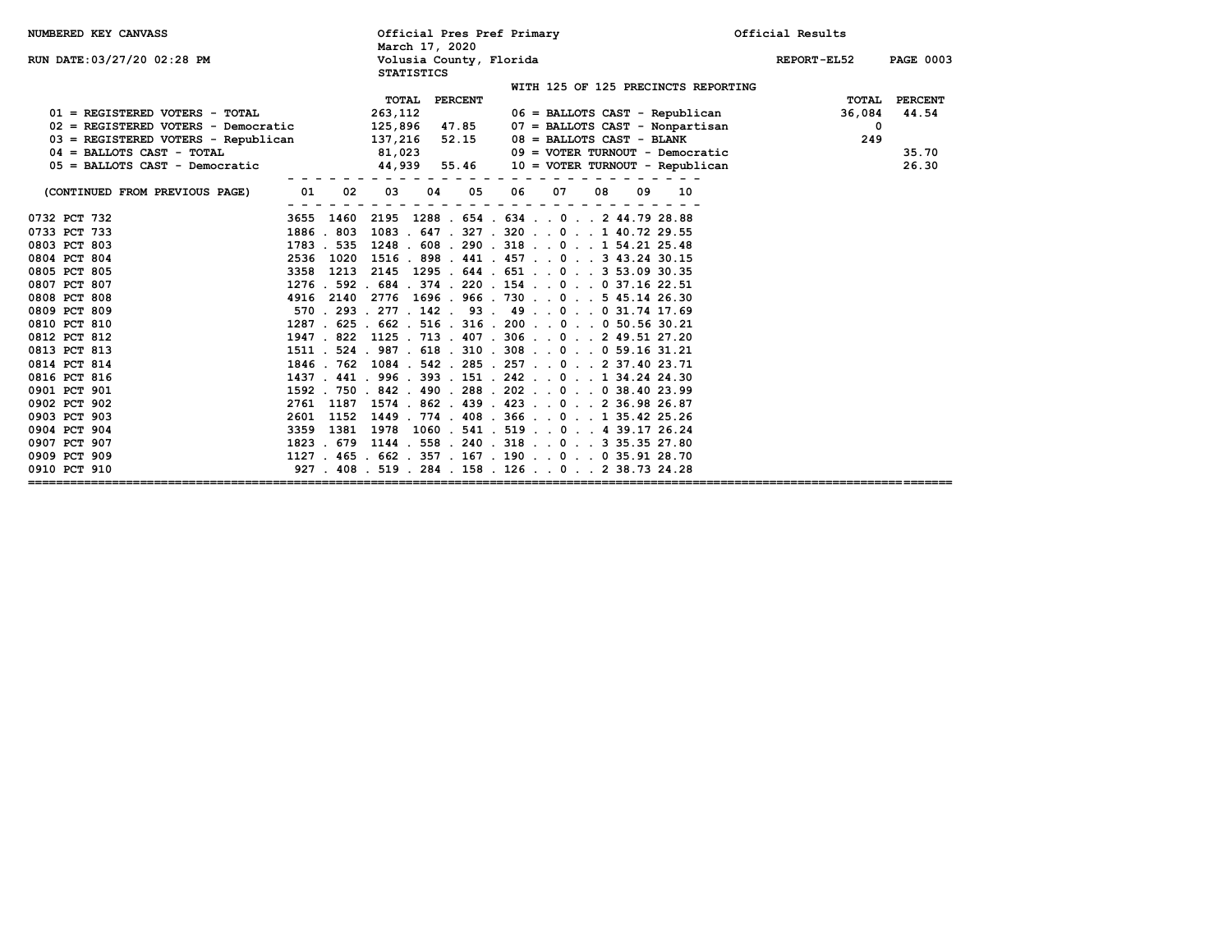| <b>NUMBERED KEY CANVASS</b>           |          | March 17, 2020                               | Official Pres Pref Primary                           | Official Results                |
|---------------------------------------|----------|----------------------------------------------|------------------------------------------------------|---------------------------------|
| <b>RUN DATE:03/27/20 02:28 PM</b>     |          | Volusia County, Florida<br><b>STATISTICS</b> |                                                      | REPORT-EL52<br><b>PAGE 0003</b> |
|                                       |          |                                              | WITH 125 OF 125 PRECINCTS REPORTING                  |                                 |
|                                       |          | TOTAL PERCENT                                |                                                      | PERCENT<br>TOTAL                |
| 01 = REGISTERED VOTERS - TOTAL        |          | 263,112                                      | $06$ = BALLOTS CAST - Republican                     | 36,084<br>44.54                 |
| $02$ = REGISTERED VOTERS - Democratic |          | 125,896 47.85                                | $07$ = BALLOTS CAST - Nonpartisan                    | $\mathbf 0$                     |
| 03 = REGISTERED VOTERS - Republican   |          | 52.15<br>137,216                             | $08 = BALLOTS CAST - BLANK$                          | 249                             |
| $04$ = BALLOTS CAST - TOTAL           |          | 81,023                                       | $09 = VOTER TURNOUT - Democratic$                    | 35.70                           |
| $05$ = BALLOTS CAST - Democratic      |          | 44,939 55.46                                 | 10 = VOTER TURNOUT - Republican                      | 26.30                           |
|                                       |          |                                              |                                                      |                                 |
| (CONTINUED FROM PREVIOUS PAGE)        | 01<br>02 | 03<br>05<br>04                               | 06<br>07<br>08<br>10<br>09                           |                                 |
|                                       |          |                                              |                                                      |                                 |
| 0732 PCT 732                          |          |                                              | 3655 1460 2195 1288 . 654 . 634 0 2 44.79 28.88      |                                 |
| 0733 PCT 733                          |          |                                              | 1886.803 1083.647.327.3200140.7229.55                |                                 |
| 0803 PCT 803                          |          |                                              | 1783 . 535 1248 . 608 . 290 . 318 0 1 54.21 25.48    |                                 |
| 0804 PCT 804                          |          |                                              | 2536 1020 1516 . 898 . 441 . 457 0 3 43.24 30.15     |                                 |
| 0805 PCT 805                          |          |                                              | 3358 1213 2145 1295 . 644 . 651 0 3 53.09 30.35      |                                 |
| 0807 PCT 807                          |          |                                              | $1276$ . 592 . 684 . 374 . 220 . 154 0 0 37.16 22.51 |                                 |
| 0808 PCT 808                          |          |                                              | 4916 2140 2776 1696 . 966 . 730 0 5 45.14 26.30      |                                 |
| 0809 PCT 809                          |          |                                              | 570 . 293 . 277 . 142 . 93 . 49 0 0 31.74 17.69      |                                 |
| 0810 PCT 810                          |          |                                              | 1287 . 625 . 662 . 516 . 316 . 200 0 0 50.56 30.21   |                                 |
| 0812 PCT 812                          |          |                                              | 1947 . 822 1125 . 713 . 407 . 306 0 2 49.51 27.20    |                                 |
| 0813 PCT 813                          |          |                                              | 1511 . 524 . 987 . 618 . 310 . 308 0 0 59.16 31.21   |                                 |
| 0814 PCT 814                          |          |                                              | 1846 . 762 1084 . 542 . 285 . 257 0 2 37.40 23.71    |                                 |
| 0816 PCT 816                          |          |                                              | 1437 . 441 . 996 . 393 . 151 . 242 0 1 34.24 24.30   |                                 |
| 0901 PCT 901                          |          |                                              | 1592 . 750 . 842 . 490 . 288 . 202 0 0 38.40 23.99   |                                 |
| 0902 PCT 902                          | 2761     |                                              | 1187 1574 . 862 . 439 . 423 0 2 36.98 26.87          |                                 |
| 0903 PCT 903                          | 2601     |                                              | 1152 1449 . 774 . 408 . 366 0 1 35.42 25.26          |                                 |
| 0904 PCT 904                          |          |                                              | 3359 1381 1978 1060 . 541 . 519 0 4 39.17 26.24      |                                 |
| 0907 PCT 907                          |          |                                              | 1823 . 679 1144 . 558 . 240 . 318 0 3 35.35 27.80    |                                 |
| 0909 PCT 909                          |          |                                              | $1127$ . 465 . 662 . 357 . 167 . 190 0 0 35.91 28.70 |                                 |
| 0910 PCT 910                          |          |                                              | 927 . 408 . 519 . 284 . 158 . 126 0 2 38.73 24.28    |                                 |
|                                       |          |                                              |                                                      |                                 |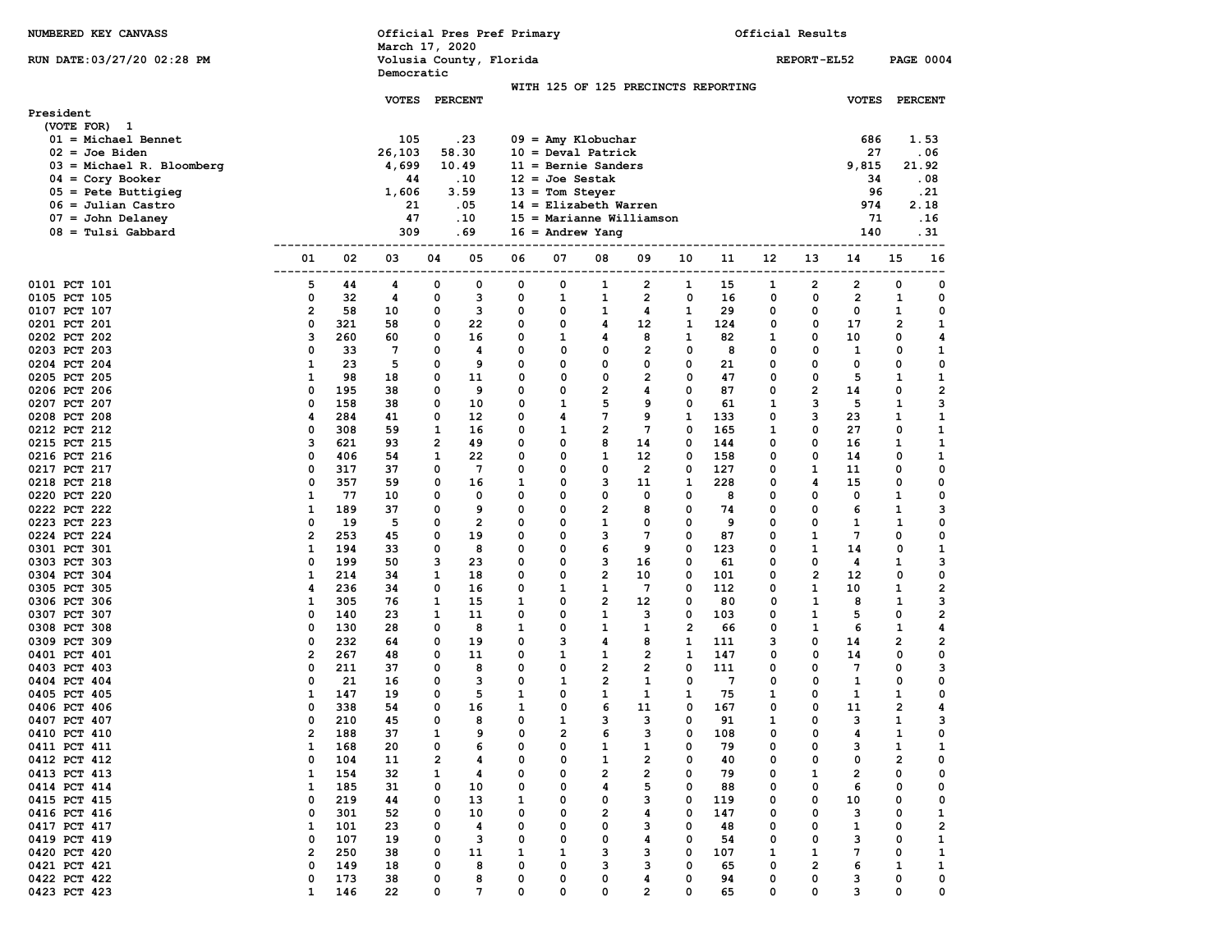| NUMBERED KEY CANVASS                       |                         |            | Official Pres Pref Primary<br>March 17, 2020 |        |                         |              |                                                      |                                         |                         |                         |            | Official Results |                     |                |                         |                         |
|--------------------------------------------|-------------------------|------------|----------------------------------------------|--------|-------------------------|--------------|------------------------------------------------------|-----------------------------------------|-------------------------|-------------------------|------------|------------------|---------------------|----------------|-------------------------|-------------------------|
| RUN DATE: 03/27/20 02:28 PM                |                         |            | Volusia County, Florida                      |        |                         |              |                                                      |                                         |                         |                         |            |                  | REPORT-EL52         |                | <b>PAGE 0004</b>        |                         |
|                                            |                         |            | Democratic                                   |        |                         |              | WITH 125 OF 125 PRECINCTS REPORTING                  |                                         |                         |                         |            |                  |                     |                |                         |                         |
|                                            |                         |            | <b>VOTES</b>                                 |        | <b>PERCENT</b>          |              |                                                      |                                         |                         |                         |            |                  |                     | <b>VOTES</b>   | <b>PERCENT</b>          |                         |
| President                                  |                         |            |                                              |        |                         |              |                                                      |                                         |                         |                         |            |                  |                     |                |                         |                         |
| (VOTE FOR) 1                               |                         |            |                                              |        |                         |              |                                                      |                                         |                         |                         |            |                  |                     |                |                         |                         |
| $01 = Michael Bennett$<br>$02 = Joe$ Biden |                         |            | 105                                          |        | .23<br>58.30            |              | $09 =$ Amy Klobuchar                                 |                                         |                         |                         |            |                  |                     | 686<br>27      |                         | 1.53<br>.06             |
| $03$ = Michael R. Bloomberg                |                         |            | 26,103<br>4,699                              |        | 10.49                   |              | $10 = \text{Deval Patrick}$<br>$11 =$ Bernie Sanders |                                         |                         |                         |            |                  |                     | 9,815          | 21.92                   |                         |
| 04 = Cory Booker                           |                         |            | 44                                           |        | .10                     |              | $12 = Joe$ Sestak                                    |                                         |                         |                         |            |                  |                     | 34             |                         | .08                     |
| $05 =$ Pete Buttigieg                      |                         |            | 1,606                                        |        | 3.59                    |              | $13 =$ Tom Steyer                                    |                                         |                         |                         |            |                  |                     | 96             |                         | .21                     |
| $06 =$ Julian Castro                       |                         |            | 21                                           |        | .05                     |              | $14$ = Elizabeth Warren                              |                                         |                         |                         |            |                  |                     | 974            |                         | 2.18                    |
| 07 = John Delaney                          |                         |            | 47                                           |        | .10                     |              | $15 =$ Marianne Williamson                           |                                         |                         |                         |            |                  |                     | 71             |                         | .16                     |
| 08 = Tulsi Gabbard                         |                         |            | 309                                          |        | . 69                    |              | $16 =$ Andrew Yang                                   |                                         |                         |                         |            |                  |                     | 140            |                         | . 31                    |
|                                            | ---------<br>01         | 02         | 03                                           | 04     | 05                      | 06           | ----<br>07                                           | 08                                      | 09                      | 10                      | 11         | 12               | 13                  | 14             | 15                      | 16                      |
|                                            | . – – – – – –           |            |                                              |        |                         |              |                                                      |                                         |                         | ---                     |            |                  |                     |                |                         |                         |
| 0101 PCT 101                               | 5                       | 44         | 4                                            | 0      | 0                       | 0            | 0                                                    | 1                                       | 2                       | 1                       | 15         | 1                | 2                   | 2              | 0                       | 0                       |
| 0105 PCT 105                               | 0                       | 32         | 4                                            | 0      | 3                       | 0            | 1                                                    | 1                                       | $\overline{2}$          | 0                       | 16         | 0                | 0                   | $\overline{2}$ | 1                       | 0                       |
| 0107 PCT 107                               | $\overline{\mathbf{2}}$ | 58         | 10                                           | 0      | 3                       | 0            | 0                                                    | 1                                       | 4                       | 1                       | 29         | 0                | 0                   | 0              | 1                       | 0                       |
| 0201 PCT 201                               | 0                       | 321        | 58                                           | 0      | 22                      | 0            | 0                                                    | 4                                       | 12                      | 1                       | 124        | 0                | 0                   | 17             | 2                       | 1                       |
| 0202 PCT 202                               | з                       | 260        | 60                                           | 0      | 16                      | 0            | 1                                                    | 4                                       | 8                       | 1                       | 82         | 1                | 0                   | 10             | 0                       | 4                       |
| 0203 PCT 203<br>0204 PCT 204               | 0<br>1                  | 33<br>23   | 7<br>5                                       | 0<br>0 | 4<br>9                  | 0<br>0       | 0<br>0                                               | 0<br>0                                  | 2<br>0                  | 0<br>0                  | 8<br>21    | $\mathbf 0$<br>0 | 0<br>0              | 1<br>0         | 0<br>0                  | 1<br>0                  |
| 0205 PCT 205                               | 1                       | 98         | 18                                           | 0      | 11                      | 0            | 0                                                    | 0                                       | $\mathbf{2}$            | 0                       | 47         | 0                | 0                   | 5              | 1                       | 1                       |
| 0206 PCT 206                               | 0                       | 195        | 38                                           | 0      | 9                       | 0            | 0                                                    | $\overline{\mathbf{2}}$                 | 4                       | 0                       | 87         | $\mathbf 0$      | 2                   | 14             | 0                       | $\overline{\mathbf{2}}$ |
| 0207 PCT 207                               | 0                       | 158        | 38                                           | 0      | 10                      | 0            | 1                                                    | 5                                       | 9                       | 0                       | 61         | 1                | 3                   | 5              | 1                       | з                       |
| 0208 PCT 208                               | 4                       | 284        | 41                                           | 0      | 12                      | 0            | 4                                                    | 7                                       | 9                       | 1                       | 133        | 0                | 3                   | 23             | 1                       | 1                       |
| 0212 PCT 212                               | 0                       | 308        | 59                                           | 1      | 16                      | $\mathbf 0$  | 1                                                    | $\mathbf{2}$                            | $7\phantom{.0}$         | 0                       | 165        | $\mathbf{1}$     | 0                   | 27             | 0                       | 1                       |
| 0215 PCT 215                               | з                       | 621        | 93                                           | 2      | 49                      | 0            | 0                                                    | 8                                       | 14                      | 0                       | 144        | 0                | 0                   | 16             | 1                       | 1                       |
| 0216 PCT 216                               | 0                       | 406        | 54                                           | 1      | 22                      | 0            | O                                                    | $\mathbf{1}$                            | 12                      | 0                       | 158        | 0                | 0                   | 14             | 0                       | 1                       |
| 0217 PCT 217<br>0218 PCT 218               | 0<br>0                  | 317<br>357 | 37<br>59                                     | 0<br>0 | 7<br>16                 | 0<br>1       | 0<br>0                                               | 0<br>з                                  | $\overline{2}$<br>11    | 0<br>1                  | 127<br>228 | 0<br>0           | 1<br>4              | 11<br>15       | 0<br>0                  | 0<br>0                  |
| 0220 PCT 220                               | 1                       | 77         | 10                                           | 0      | 0                       | 0            | 0                                                    | 0                                       | 0                       | 0                       | 8          | 0                | 0                   | 0              | 1                       | 0                       |
| 0222 PCT 222                               | 1                       | 189        | 37                                           | 0      | 9                       | 0            | 0                                                    | $\overline{\mathbf{2}}$                 | 8                       | 0                       | 74         | 0                | 0                   | 6              | $\mathbf{1}$            | з                       |
| 0223 PCT 223                               | 0                       | 19         | 5                                            | 0      | $\overline{\mathbf{2}}$ | 0            | 0                                                    | $\mathbf{1}$                            | 0                       | 0                       | 9          | 0                | 0                   | 1              | 1                       | 0                       |
| 0224 PCT 224                               | $\overline{\mathbf{2}}$ | 253        | 45                                           | 0      | 19                      | 0            | 0                                                    | 3                                       | 7                       | 0                       | 87         | 0                | 1                   | 7              | 0                       | 0                       |
| 0301 PCT 301                               | 1                       | 194        | 33                                           | 0      | 8                       | 0            | $\Omega$                                             | 6                                       | 9                       | 0                       | 123        | $\mathbf 0$      | 1                   | 14             | 0                       | 1                       |
| 0303 PCT 303                               | 0                       | 199        | 50                                           | з      | 23                      | 0            | 0                                                    | з                                       | 16                      | 0                       | 61         | $\Omega$         | 0                   | 4              | 1                       | 3                       |
| 0304 PCT 304<br>0305 PCT 305               | 1<br>4                  | 214<br>236 | 34<br>34                                     | 1<br>0 | 18<br>16                | 0<br>0       | 0<br>1                                               | $\overline{\mathbf{2}}$<br>$\mathbf{1}$ | 10<br>7                 | 0<br>0                  | 101<br>112 | 0<br>0           | $\overline{2}$<br>1 | 12<br>10       | 0<br>1                  | 0<br>2                  |
| 0306 PCT 306                               | 1                       | 305        | 76                                           | 1      | 15                      | 1            | 0                                                    | $\overline{2}$                          | 12                      | 0                       | 80         | 0                | 1                   | 8              | 1                       | 3                       |
| 0307 PCT 307                               | 0                       | 140        | 23                                           | 1      | 11                      | 0            | 0                                                    | $\mathbf{1}$                            | з                       | 0                       | 103        | 0                | 1                   | 5              | 0                       | $\overline{\mathbf{2}}$ |
| 0308 PCT 308                               | 0                       | 130        | 28                                           | 0      | 8                       | 1            | 0                                                    | $\mathbf{1}$                            | 1                       | $\overline{\mathbf{2}}$ | 66         | 0                | 1                   | 6              | $\mathbf{1}$            | 4                       |
| 0309 PCT 309                               | 0                       | 232        | 64                                           | 0      | 19                      | 0            | 3                                                    | 4                                       | 8                       | 1                       | 111        | 3                | 0                   | 14             | $\overline{2}$          | 2                       |
| 0401 PCT 401                               | $\overline{\mathbf{2}}$ | 267        | 48                                           | 0      | 11                      | 0            | 1                                                    | 1                                       | $\overline{2}$          | 1                       | 147        | 0                | 0                   | 14             | 0                       | 0                       |
| 0403 PCT 403                               | 0                       | 211        | 37                                           | 0      | 8                       | 0            | 0                                                    | $\overline{\mathbf{2}}$                 | $\overline{2}$          | 0                       | 111        | 0                | 0                   | 7              | 0                       | з                       |
| 0404 PCT 404<br>0405 PCT 405               | 0<br>1                  | 21<br>147  | 16<br>19                                     | 0<br>0 | з<br>5                  | 0<br>1       | 1<br>0                                               | 2<br>1                                  | 1<br>1                  | 0<br>1                  | 7<br>75    | 0<br>1           | 0<br>0              | 1<br>1         | 0<br>1                  | 0<br>0                  |
| 0406 PCT 406                               | 0                       | 338        | 54                                           | 0      | 16                      | $\mathbf{1}$ | 0                                                    | 6                                       | 11                      | 0                       | 167        | $\Omega$         | 0                   | 11             | 2                       | 4                       |
| 0407 PCT 407                               | 0                       | 210        | 45                                           |        | 8                       | 0            | 1                                                    | 3                                       | з                       | 0                       | 91         |                  |                     | з              |                         | з                       |
| 0410 PCT 410                               | 2                       | 188        | 37                                           | 1      | 9                       | 0            | 2                                                    | 6                                       | з                       | 0                       | 108        | 0                | 0                   | 4              | 1                       | 0                       |
| 0411 PCT 411                               | 1                       | 168        | 20                                           | 0      | 6                       | 0            | 0                                                    | 1                                       | 1                       | 0                       | 79         | 0                | 0                   | з              | 1                       | 1                       |
| 0412 PCT 412                               | 0                       | 104        | 11                                           | 2      | 4                       | 0            | 0                                                    | 1                                       | 2                       | 0                       | 40         | 0                | 0                   | 0              | $\overline{\mathbf{2}}$ | 0                       |
| 0413 PCT 413                               | 1                       | 154        | 32                                           | 1      | 4                       | 0            | 0                                                    | $\overline{\mathbf{2}}$                 | $\overline{\mathbf{2}}$ | 0                       | 79         | 0                | 1                   | 2              | 0                       | 0                       |
| 0414 PCT 414<br>0415 PCT 415               | 1<br>0                  | 185<br>219 | 31<br>44                                     | 0<br>0 | 10<br>13                | 0<br>1       | 0<br>0                                               | 4<br>0                                  | 5<br>з                  | 0<br>0                  | 88<br>119  | 0<br>0           | 0<br>0              | 6<br>10        | 0<br>0                  | 0<br>0                  |
| 0416 PCT 416                               | 0                       | 301        | 52                                           | 0      | 10                      | 0            | 0                                                    | $\overline{\mathbf{2}}$                 | 4                       | 0                       | 147        | 0                | 0                   | з              | 0                       | 1                       |
| 0417 PCT 417                               | 1                       | 101        | 23                                           | 0      | 4                       | 0            | 0                                                    | 0                                       | з                       | 0                       | 48         | 0                | 0                   | 1              | 0                       | $\mathbf{2}$            |
| 0419 PCT 419                               | 0                       | 107        | 19                                           | 0      | 3                       | 0            | 0                                                    | 0                                       | 4                       | 0                       | 54         | 0                | 0                   | з              | 0                       | 1                       |
| 0420 PCT 420                               | $\overline{\mathbf{2}}$ | 250        | 38                                           | 0      | 11                      | 1            | 1                                                    | з                                       | з                       | 0                       | 107        | 1                | 1                   | 7              | 0                       | $\mathbf{1}$            |
| 0421 PCT 421                               | 0                       | 149        | 18                                           | 0      | 8                       | 0            | 0                                                    | з                                       | з                       | 0                       | 65         | 0                | 2                   | 6              | 1                       | 1                       |
| 0422 PCT 422                               | 0                       | 173        | 38                                           | 0      | 8                       | 0            | 0                                                    | 0                                       | 4                       | 0                       | 94         | 0                | 0                   | з              | 0                       | 0                       |
| 0423 PCT 423                               | $\mathbf{1}$            | 146        | 22                                           | 0      | 7                       | 0            | 0                                                    | 0                                       | $\mathbf{2}$            | 0                       | 65         | 0                | 0                   | 3              | 0                       | 0                       |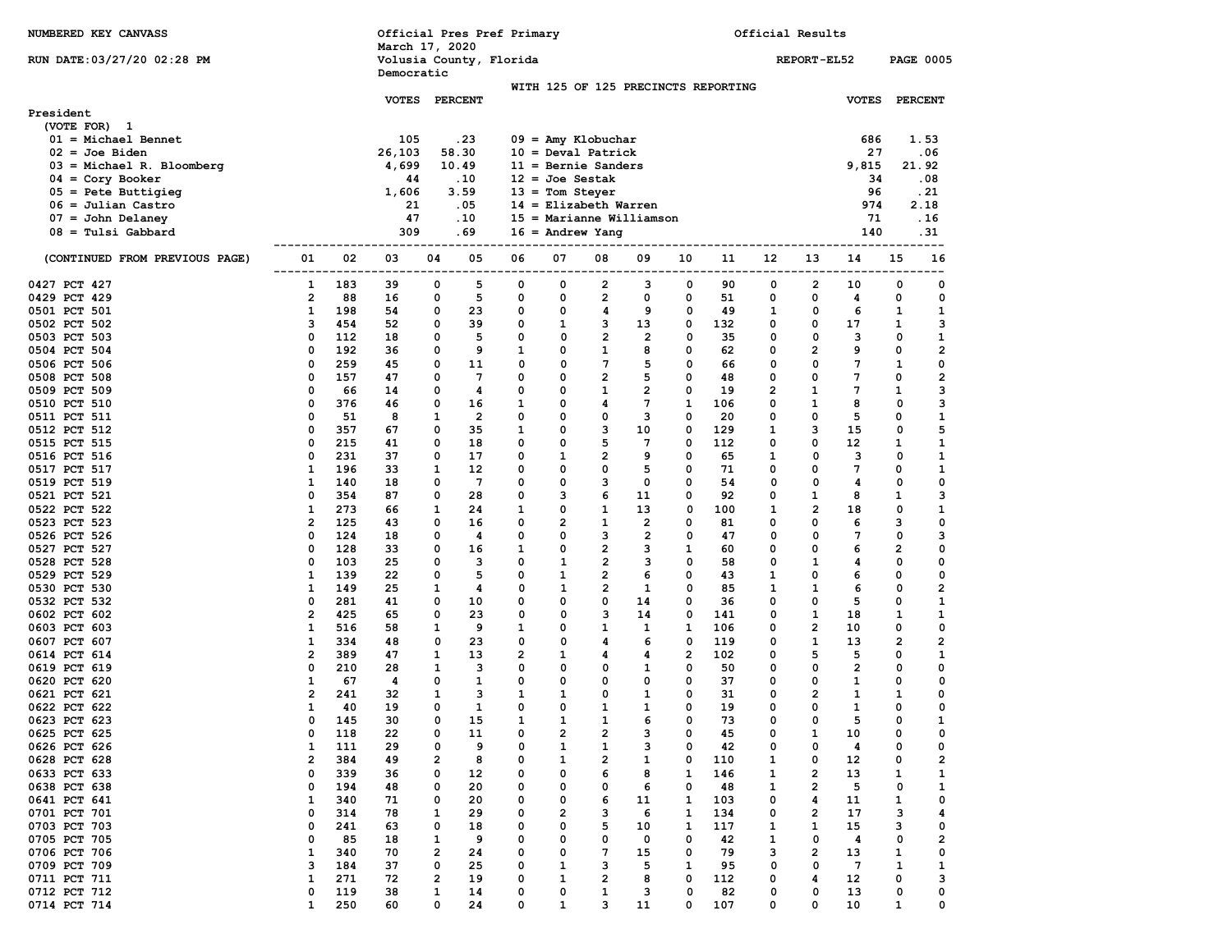| NUMBERED KEY CANVASS                                |                              |              | March 17, 2020 |            |                       | Official Pres Pref Primary |                   |                             |                              |            |                                     | Official Results |                   |                 |              |                         |
|-----------------------------------------------------|------------------------------|--------------|----------------|------------|-----------------------|----------------------------|-------------------|-----------------------------|------------------------------|------------|-------------------------------------|------------------|-------------------|-----------------|--------------|-------------------------|
| RUN DATE: 03/27/20 02:28 PM                         |                              |              |                |            |                       | Volusia County, Florida    |                   |                             |                              |            |                                     |                  | REPORT-EL52       |                 |              | <b>PAGE 0005</b>        |
|                                                     |                              |              | Democratic     |            |                       |                            |                   |                             |                              |            | WITH 125 OF 125 PRECINCTS REPORTING |                  |                   |                 |              |                         |
|                                                     |                              |              | <b>VOTES</b>   |            | <b>PERCENT</b>        |                            |                   |                             |                              |            |                                     |                  |                   | <b>VOTES</b>    |              | <b>PERCENT</b>          |
| President<br>(VOTE FOR) 1<br>$01 = Michael Bennett$ |                              |              | 105            |            | .23                   |                            |                   | $09 =$ Amy Klobuchar        |                              |            |                                     |                  |                   | 686             |              | 1.53                    |
| $02 = Joe$ Biden                                    |                              |              | 26,103         |            | 58.30                 |                            |                   | $10 = \text{Deval Patrick}$ |                              |            |                                     |                  |                   | 27              |              | . 06                    |
| $03 = Michael R. Bloomberg$                         |                              |              | 4,699          |            | 10.49                 |                            |                   | $11 =$ Bernie Sanders       |                              |            |                                     |                  |                   | 9,815           |              | 21.92                   |
| $04 = \text{Cory}$ Booker                           |                              |              | 44             |            | .10                   |                            | $12 = Joe$ Sestak |                             |                              |            |                                     |                  |                   | 34              |              | .08                     |
| $05 =$ Pete Buttigieg<br>$06 =$ Julian Castro       |                              |              | 1,606<br>21    |            | 3.59<br>.05           |                            | $13 =$ Tom Steyer | $14$ = Elizabeth Warren     |                              |            |                                     |                  |                   | 96<br>974       |              | .21<br>2.18             |
| $07 =$ John Delaney                                 |                              |              | 47             |            | .10                   |                            |                   | $15 =$ Marianne Williamson  |                              |            |                                     |                  |                   | 71              |              | . 16                    |
| $08 =$ Tulsi Gabbard                                |                              |              | 309            |            | . 69                  |                            |                   | $16 =$ Andrew Yang          |                              |            |                                     |                  |                   | 140             |              | . 31                    |
|                                                     |                              |              |                |            |                       |                            | -----             |                             |                              |            |                                     | -------------    |                   |                 |              |                         |
| (CONTINUED FROM PREVIOUS PAGE)                      | 01<br>-------                | 02<br>------ | 03<br>---      | 04<br>---- | 05<br>----            | 06<br>----                 | 07<br>----        | 08<br>-----                 | 09<br>----                   | 10<br>---- | 11<br>----                          | 12<br>---        | 13<br>----        | 14              | 15<br>---    | 16                      |
| 0427 PCT 427                                        | 1                            | 183          | 39             | 0          | 5                     | 0                          | 0                 | 2                           | з                            | 0          | 90                                  | 0                | 2                 | 10              | 0            | 0                       |
| 0429 PCT 429                                        | $\overline{\mathbf{2}}$      | 88           | 16             | 0          | 5                     | 0                          | 0                 | 2                           | 0                            | 0          | 51                                  | 0                | 0                 | 4               | 0            | 0                       |
| 0501 PCT 501                                        | 1                            | 198          | 54             | 0          | 23                    | 0                          | 0                 | 4                           | 9                            | 0          | 49                                  | 1                | 0                 | 6               | 1            | 1                       |
| 0502 PCT 502                                        | з                            | 454          | 52             | 0          | 39                    | 0                          | 1<br>0            | 3<br>$\overline{2}$         | 13                           | 0          | 132                                 | 0                | 0                 | 17<br>3         | 1            | 3                       |
| 0503 PCT 503<br>0504 PCT 504                        | 0<br>0                       | 112<br>192   | 18<br>36       | 0<br>0     | 5<br>9                | 0<br>1                     | 0                 | 1                           | $\overline{\mathbf{2}}$<br>8 | 0<br>0     | 35<br>62                            | 0<br>0           | 0<br>2            | 9               | 0<br>0       | 1<br>2                  |
| 0506 PCT 506                                        | 0                            | 259          | 45             | 0          | 11                    | 0                          | 0                 | 7                           | 5                            | 0          | 66                                  | 0                | 0                 | 7               | 1            | 0                       |
| 0508 PCT 508                                        | 0                            | 157          | 47             | 0          | $7\phantom{.0}$       | 0                          | 0                 | $\overline{2}$              | 5                            | 0          | 48                                  | 0                | 0                 | 7               | 0            | $\overline{\mathbf{2}}$ |
| 0509 PCT 509                                        | 0                            | 66           | 14             | 0          | 4                     | 0                          | 0                 | 1                           | 2                            | 0          | 19                                  | 2                | 1                 | 7               | 1            | 3                       |
| 0510 PCT 510                                        | 0                            | 376          | 46             | 0          | 16                    | 1                          | 0                 | 4                           | 7                            | 1          | 106                                 | 0                | 1                 | 8               | 0            | 3                       |
| 0511 PCT 511                                        | 0                            | 51           | 8              | 1          | $\overline{2}$        | 0                          | 0                 | 0                           | з                            | 0          | 20                                  | 0                | 0                 | 5               | 0            | 1                       |
| 0512 PCT 512                                        | 0                            | 357          | 67             | 0          | 35                    | 1                          | 0                 | 3                           | 10                           | 0          | 129                                 | 1                | з                 | 15              | 0            | 5                       |
| 0515 PCT 515                                        | 0                            | 215          | 41             | 0          | 18                    | 0                          | 0                 | 5                           | 7                            | 0          | 112                                 | 0                | 0                 | 12              | 1            | 1                       |
| 0516 PCT 516                                        | 0                            | 231          | 37             | 0          | 17                    | $\mathbf 0$                | $\mathbf{1}$      | $\overline{2}$              | 9                            | 0          | 65                                  | 1                | 0                 | 3               | 0            | 1                       |
| 0517 PCT 517                                        | 1                            | 196          | 33             | 1          | 12                    | 0                          | 0                 | 0                           | 5                            | 0          | 71                                  | 0                | 0                 | 7               | 0            | 1                       |
| 0519 PCT 519<br>0521 PCT 521                        | 1<br>0                       | 140<br>354   | 18<br>87       | 0<br>0     | $7\phantom{.0}$<br>28 | 0<br>0                     | 0<br>3            | з<br>6                      | 0<br>11                      | 0<br>0     | 54<br>92                            | 0<br>0           | 0<br>$\mathbf{1}$ | 4<br>8          | 0<br>1       | 0<br>3                  |
| 0522 PCT 522                                        | 1                            | 273          | 66             | 1          | 24                    | 1                          | 0                 | 1                           | 13                           | 0          | 100                                 | 1                | $\mathbf{2}$      | 18              | 0            | 1                       |
| 0523 PCT 523                                        | 2                            | 125          | 43             | 0          | 16                    | 0                          | $\overline{2}$    | $\mathbf{1}$                | $\mathbf{2}$                 | 0          | 81                                  | 0                | 0                 | 6               | з            | 0                       |
| 0526 PCT 526                                        | 0                            | 124          | 18             | 0          | 4                     | 0                          | 0                 | 3                           | 2                            | 0          | 47                                  | 0                | 0                 | 7               | 0            | з                       |
| 0527 PCT 527                                        | 0                            | 128          | 33             | 0          | 16                    | 1                          | 0                 | 2                           | з                            | 1          | 60                                  | 0                | 0                 | 6               | 2            | 0                       |
| 0528 PCT 528                                        | 0                            | 103          | 25             | 0          | 3                     | 0                          | 1                 | $\overline{2}$              | з                            | 0          | 58                                  | 0                | 1                 | 4               | 0            | 0                       |
| 0529 PCT 529                                        | 1                            | 139          | 22             | 0          | 5                     | 0                          | 1                 | 2                           | 6                            | 0          | 43                                  | 1                | 0                 | 6               | 0            | 0                       |
| 0530 PCT 530                                        | 1                            | 149          | 25             | 1          | 4                     | 0                          | 1                 | $\overline{2}$              | 1                            | 0          | 85                                  | 1                | 1                 | 6               | 0            | 2                       |
| 0532 PCT 532                                        | 0                            | 281          | 41             | 0          | 10                    | 0                          | 0                 | 0                           | 14                           | 0          | 36                                  | 0                | 0                 | 5               | 0            | 1                       |
| 0602 PCT 602<br>0603 PCT 603                        | $\overline{\mathbf{2}}$<br>1 | 425<br>516   | 65<br>58       | 0          | 23<br>9               | 0<br>1                     | 0<br>0            | 3<br>1                      | 14<br>1                      | 0<br>1     | 141<br>106                          | 0<br>0           | $\mathbf{1}$<br>2 | 18<br>10        | 1<br>0       | 1<br>0                  |
| 0607 PCT 607                                        | 1                            | 334          | 48             | 1<br>0     | 23                    | 0                          | 0                 | 4                           | 6                            | 0          | 119                                 | 0                | $\mathbf{1}$      | 13              | $\mathbf{2}$ | 2                       |
| 0614 PCT 614                                        | $\overline{2}$               | 389          | 47             | 1          | 13                    | 2                          | 1                 | 4                           | 4                            | 2          | 102                                 | 0                | 5                 | 5               | 0            | 1                       |
| 0619 PCT 619                                        | 0                            | 210          | 28             | 1          | 3                     | 0                          | 0                 | 0                           | 1                            | 0          | 50                                  | 0                | 0                 | $\mathbf{2}$    | 0            | 0                       |
| 0620 PCT 620                                        | 1                            | 67           | 4              | 0          | 1                     | 0                          | 0                 | 0                           | 0                            | 0          | 37                                  | 0                | 0                 | 1               | 0            | 0                       |
| 0621 PCT 621                                        | 2                            | 241          | 32             | 1          | з                     | 1                          | 1                 | 0                           | 1                            | 0          | 31                                  | 0                | $\mathbf{2}$      | 1               | 1            | 0                       |
| 0622 PCT 622                                        | 1                            | 40           | 19             | 0          | $\mathbf{1}$          | 0                          | 0                 | 1                           | 1                            | 0          | 19                                  | 0                | 0                 | 1               | 0            | 0                       |
| 0623 PCT 623                                        | 0                            | 145          | 30             | 0          | 15                    |                            |                   | 1                           | 6                            | 0          | 73                                  | 0                | 0                 | 5               | 0            |                         |
| 0625 PCT 625                                        | 0                            | 118          | 22             | 0          | 11                    | 0                          | 2                 | 2                           | з                            | 0          | 45                                  | 0                | 1                 | 10              | 0            | 0                       |
| 0626 PCT 626<br>0628 PCT 628                        | 1<br>2                       | 111<br>384   | 29<br>49       | 0          | 9<br>8                | 0<br>0                     | 1<br>1            | 1<br>2                      | з<br>1                       | 0<br>0     | 42<br>110                           | 0                | 0<br>0            | 4<br>12         | 0<br>0       | 0<br>2                  |
| 0633 PCT 633                                        | 0                            | 339          | 36             | 2<br>0     | 12                    | 0                          | 0                 | 6                           | 8                            | 1          | 146                                 | 1<br>1           | 2                 | 13              | 1            | 1                       |
| 0638 PCT 638                                        | 0                            | 194          | 48             | 0          | 20                    | 0                          | 0                 | 0                           | 6                            | 0          | 48                                  | 1                | 2                 | 5               | 0            | 1                       |
| 0641 PCT 641                                        | 1                            | 340          | 71             | 0          | 20                    | 0                          | 0                 | 6                           | 11                           | 1          | 103                                 | 0                | 4                 | 11              | 1            | 0                       |
| 0701 PCT 701                                        | 0                            | 314          | 78             | 1          | 29                    | 0                          | 2                 | з                           | 6                            | 1          | 134                                 | 0                | 2                 | 17              | з            | 4                       |
| 0703 PCT 703                                        | 0                            | 241          | 63             | 0          | 18                    | 0                          | 0                 | 5                           | 10                           | 1          | 117                                 | 1                | 1                 | 15              | з            | 0                       |
| 0705 PCT 705                                        | 0                            | 85           | 18             | 1          | 9                     | 0                          | 0                 | 0                           | 0                            | 0          | 42                                  | 1                | 0                 | 4               | 0            | 2                       |
| 0706 PCT 706                                        | 1                            | 340          | 70             | 2          | 24                    | 0                          | 0                 | 7                           | 15                           | 0          | 79                                  | з                | 2                 | 13              | 1            | 0                       |
| 0709 PCT 709                                        | з                            | 184          | 37             | 0          | 25                    | 0                          | 1                 | з                           | 5                            | 1          | 95                                  | 0                | 0                 | $7\phantom{.0}$ | 1            | 1                       |
| 0711 PCT 711<br>0712 PCT 712                        | 1<br>0                       | 271<br>119   | 72<br>38       | 2<br>1     | 19<br>14              | 0<br>0                     | 1<br>0            | 2<br>1                      | 8<br>з                       | 0<br>0     | 112<br>82                           | 0<br>0           | 4<br>0            | 12<br>13        | 0<br>0       | з<br>0                  |
| 0714 PCT 714                                        | 1                            | 250          | 60             | 0          | 24                    | 0                          | 1                 | з                           | 11                           | 0          | 107                                 | 0                | 0                 | 10              | 1            | 0                       |
|                                                     |                              |              |                |            |                       |                            |                   |                             |                              |            |                                     |                  |                   |                 |              |                         |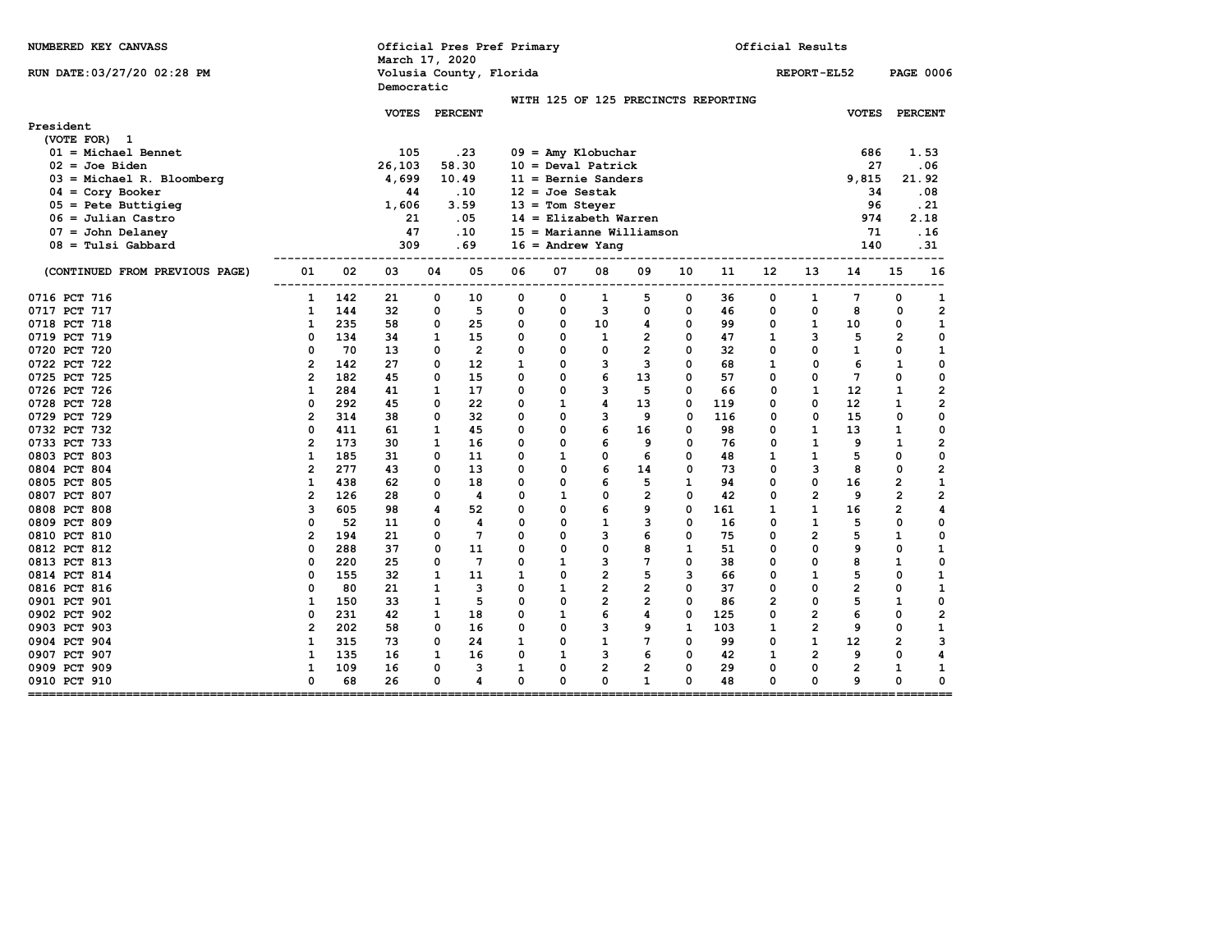| NUMBERED KEY CANVASS                                           |                          |                 | Official Pres Pref Primary<br>March 17, 2020 |                   |              |              |                             |                 |              | Official Results                    |                |                |                 |                |                         |
|----------------------------------------------------------------|--------------------------|-----------------|----------------------------------------------|-------------------|--------------|--------------|-----------------------------|-----------------|--------------|-------------------------------------|----------------|----------------|-----------------|----------------|-------------------------|
| RUN DATE: 03/27/20 02:28 PM                                    |                          |                 | Volusia County, Florida<br>Democratic        |                   |              |              |                             |                 |              |                                     |                | REPORT-EL52    |                 |                | <b>PAGE 0006</b>        |
|                                                                |                          |                 |                                              |                   |              |              |                             |                 |              | WITH 125 OF 125 PRECINCTS REPORTING |                |                |                 |                |                         |
| President                                                      |                          | <b>VOTES</b>    |                                              | <b>PERCENT</b>    |              |              |                             |                 |              |                                     |                |                | <b>VOTES</b>    |                | <b>PERCENT</b>          |
| (VOTE FOR) 1                                                   |                          |                 |                                              |                   |              |              |                             |                 |              |                                     |                |                |                 |                |                         |
| $01 = Michael Bennett$                                         |                          | 105             |                                              | .23               |              |              | $09 =$ Amy Klobuchar        |                 |              |                                     |                |                | 686             |                | 1.53                    |
| $02 =$ Joe Biden                                               |                          | 26,103          |                                              | 58.30             |              |              | $10 = \text{Deval Patrick}$ |                 |              |                                     |                |                | 27              |                | . 06                    |
| $03$ = Michael R. Bloomberg                                    |                          | 4,699           |                                              | 10.49             |              |              | $11 =$ Bernie Sanders       |                 |              |                                     |                |                | 9,815           |                | 21.92                   |
| $04 = \text{Cory}$ Booker                                      |                          | 44              |                                              | .10               |              |              | $12 = Joe$ Sestak           |                 |              |                                     |                |                | 34              |                | . 08                    |
| $05$ = Pete Buttigieg                                          |                          | 1,606           |                                              | 3.59              |              |              | $13 =$ Tom Steyer           |                 |              |                                     |                |                | 96              |                | .21                     |
| $06 =$ Julian Castro                                           |                          | 21              |                                              | .05               |              |              | $14$ = Elizabeth Warren     |                 |              |                                     |                |                | 974             |                | 2.18                    |
| $07 =$ John Delaney                                            |                          | 47              |                                              | .10               |              |              | $15 =$ Marianne Williamson  |                 |              |                                     |                |                | 71              |                | . 16                    |
| $08 =$ Tulsi Gabbard                                           |                          | 309             |                                              | .69               |              |              | $16 =$ Andrew Yang          |                 |              |                                     |                |                | 140             |                | .31                     |
| (CONTINUED FROM PREVIOUS PAGE)                                 | 02<br>01                 | 03              | 04                                           | 05                | 06           | 07           | 08                          | 09              | 10           | 11                                  | 12             | 13             | 14              | 15             | 16                      |
| 0716 PCT 716                                                   | ------------<br>142<br>1 | $- - - -$<br>21 | ----<br>0                                    | ----<br>10        | 0            | ----<br>0    | 1                           | ----------<br>5 | ----<br>0    | -----<br>36                         | ---<br>0       | ----<br>1      | 7               | --------<br>0  | 1                       |
| 0717 PCT 717                                                   | 144<br>1                 | 32              | 0                                            | 5                 | 0            | 0            | 3                           | 0               | 0            | 46                                  | 0              | 0              | 8               | 0              | $\overline{2}$          |
| 0718 PCT 718                                                   | 235<br>1                 | 58              | 0                                            | 25                | 0            | 0            | 10                          | 4               | 0            | 99                                  | 0              | $\mathbf{1}$   | 10              | 0              | $\mathbf{1}$            |
| 0719 PCT 719                                                   | 0<br>134                 | 34              | 1                                            | 15                | 0            | 0            | $\mathbf{1}$                | $\overline{2}$  | 0            | 47                                  | 1              | 3              | 5               | $\overline{2}$ | 0                       |
| 0720 PCT 720                                                   | 0<br>70                  | 13              | 0                                            | $\overline{2}$    | 0            | 0            | 0                           | $\overline{2}$  | 0            | 32                                  | 0              | 0              | $\mathbf{1}$    | 0              | 1                       |
| 0722 PCT 722                                                   | $\overline{2}$<br>142    | 27              | 0                                            | $12 \overline{ }$ | $\mathbf{1}$ | 0            | 3                           | 3               | 0            | 68                                  | $\mathbf{1}$   | $\mathbf 0$    | 6               | $\mathbf{1}$   | 0                       |
| 0725 PCT 725                                                   | $\overline{2}$<br>182    | 45              | 0                                            | 15                | 0            | 0            | 6                           | 13              | 0            | 57                                  | 0              | 0              | $7\phantom{.0}$ | 0              | $\mathbf 0$             |
| 0726 PCT 726                                                   | $\mathbf{1}$<br>284      | 41              | 1                                            | 17                | 0            | 0            | 3                           | 5               | 0            | 66                                  | 0              | $\mathbf{1}$   | 12              | $\mathbf{1}$   | $\overline{\mathbf{2}}$ |
| 0728 PCT 728                                                   | 0<br>292                 | 45              | 0                                            | 22                | 0            | $\mathbf{1}$ | 4                           | 13              | 0            | 119                                 | 0              | 0              | 12              | 1              | $\overline{\mathbf{2}}$ |
| 0729 PCT 729                                                   | $\overline{2}$<br>314    | 38              | 0                                            | 32                | 0            | 0            | 3                           | 9               | 0            | 116                                 | 0              | $\mathbf 0$    | 15              | 0              | 0                       |
| 0732 PCT 732                                                   | 0<br>411                 | 61              | 1                                            | 45                | 0            | 0            | 6                           | 16              | 0            | 98                                  | 0              | $\mathbf{1}$   | 13              | $\mathbf{1}$   | $\mathbf 0$             |
| 0733 PCT 733                                                   | $\overline{2}$<br>173    | 30              | 1                                            | 16                | 0            | 0            | 6                           | 9               | 0            | 76                                  | 0              | $\mathbf{1}$   | 9               | $\mathbf{1}$   | $\overline{\mathbf{2}}$ |
| 0803 PCT 803                                                   | $\mathbf{1}$<br>185      | 31              | 0                                            | 11                | 0            | $\mathbf{1}$ | 0                           | 6               | 0            | 48                                  | $\mathbf{1}$   | $\mathbf{1}$   | 5               | 0              | $\mathbf 0$             |
| 0804 PCT 804                                                   | $\overline{2}$<br>277    | 43              | 0                                            | 13                | 0            | 0            | 6                           | 14              | 0            | 73                                  | 0              | 3              | 8               | 0              | $\mathbf{2}$            |
| 0805 PCT 805                                                   | 1<br>438                 | 62              | 0                                            | 18                | 0            | 0            | 6                           | 5               | 1            | 94                                  | 0              | 0              | 16              | $\overline{2}$ | 1                       |
| 0807 PCT 807                                                   | $\overline{2}$<br>126    | 28              | 0                                            | 4                 | 0            | $\mathbf{1}$ | 0                           | $\overline{2}$  | $\mathbf 0$  | 42                                  | 0              | $\overline{2}$ | 9               | $\overline{2}$ | $\overline{2}$          |
| 0808 PCT 808                                                   | 3<br>605                 | 98              | 4                                            | 52                | 0            | 0            | 6                           | 9               | 0            | 161                                 | 1              | $\mathbf{1}$   | 16              | $\overline{2}$ | 4                       |
| 0809 PCT 809                                                   | 0<br>52                  | 11              | 0                                            | 4                 | 0            | 0            | $\mathbf{1}$                | 3               | 0            | 16                                  | 0              | $\mathbf{1}$   | 5               | 0              | 0                       |
| 0810 PCT 810                                                   | $\mathbf{2}$<br>194      | 21              | 0                                            | $\overline{7}$    | 0            | 0            | з                           | 6               | 0            | 75                                  | 0              | $\overline{2}$ | 5               | 1              | $\mathbf 0$             |
| 0812 PCT 812                                                   | 0<br>288                 | 37              | 0                                            | 11                | 0            | 0            | 0                           | 8               | $\mathbf{1}$ | 51                                  | 0              | $\mathbf 0$    | 9               | 0              | $\mathbf{1}$            |
| 0813 PCT 813                                                   | 0<br>220                 | 25              | 0                                            | $7\phantom{.0}$   | 0            | 1            | 3                           | 7               | 0            | 38                                  | 0              | 0              | 8               | 1              | 0                       |
| 0814 PCT 814                                                   | 0<br>155                 | 32              | $\mathbf{1}$                                 | 11                | 1            | 0            | $\overline{2}$              | 5               | 3            | 66                                  | 0              | $\mathbf{1}$   | 5               | 0              | $\mathbf{1}$            |
| 0816 PCT 816                                                   | 0<br>80                  | 21              | 1                                            | 3                 | 0            | $\mathbf{1}$ | $\overline{2}$              | $\overline{2}$  | 0            | 37                                  | 0              | 0              | $\overline{2}$  | 0              | $\mathbf{1}$            |
| 0901 PCT 901                                                   | $\mathbf{1}$<br>150      | 33              | $\mathbf{1}$                                 | 5                 | 0            | 0            | $\overline{2}$              | $\overline{2}$  | 0            | 86                                  | $\overline{2}$ | 0              | 5               | $\mathbf{1}$   | 0                       |
| 0902 PCT 902                                                   | 0<br>231                 | 42              | 1                                            | 18                | 0            | $\mathbf{1}$ | 6                           | 4               | 0            | 125                                 | 0              | $\overline{2}$ | 6               | 0              | $\overline{\mathbf{2}}$ |
| 0903 PCT 903                                                   | $\overline{2}$<br>202    | 58              | 0                                            | 16                | 0            | 0            | 3                           | 9               | $\mathbf{1}$ | 103                                 | $\mathbf{1}$   | $\overline{2}$ | 9               | 0              | 1                       |
| 0904 PCT 904                                                   | 1<br>315                 | 73              | 0                                            | 24                | $\mathbf{1}$ | 0            | $\mathbf{1}$                | 7               | 0            | 99                                  | 0              | $\mathbf{1}$   | 12              | $\overline{2}$ | 3                       |
| 0907 PCT 907                                                   | $\mathbf{1}$<br>135      | 16              | $\mathbf{1}$                                 | 16                | 0            | $\mathbf{1}$ | з                           | 6               | 0            | 42                                  | $\mathbf{1}$   | $\overline{2}$ | 9               | 0              | 4                       |
| 0909 PCT 909                                                   | $\mathbf{1}$<br>109      | 16              | 0                                            | 3                 | 1            | 0            | $\overline{2}$              | $\overline{2}$  | 0            | 29                                  | 0              | 0              | $\overline{2}$  | 1              | 1                       |
| 0910 PCT 910<br>==============================<br>$=$ ======== | 0<br>68                  | 26              | 0                                            | 4                 | 0            | 0            | 0                           | $\mathbf{1}$    | 0            | 48                                  | 0              | 0              | 9               | 0              | 0<br>---------          |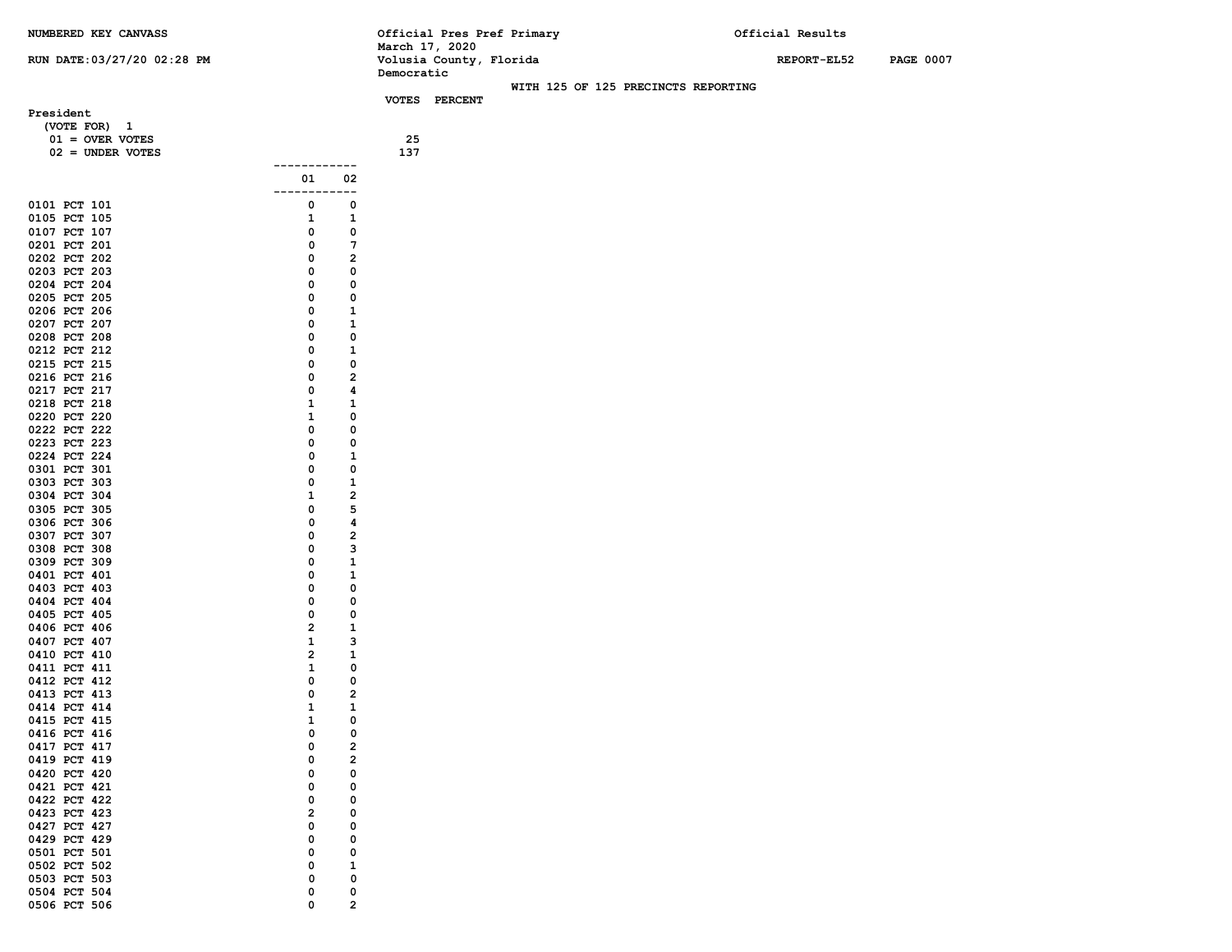**0411 PCT 411 1 0** 0412 PCT 412 0 0 **0413 PCT 413 0 2 0414 PCT 414 1 1 1 0415 PCT 415 1 0 0415 PCT 415 1 0**<br> **0416 PCT 416 1 0 0 0** 0416 PCT 416 0 0 0 **0417 PCT 417 0 2 0419 PCT 419 0 2** 0420 PCT 420 0 0 0 **0421 PCT 421** 0 0 0<br> **0422 PCT 422** 0 0 **0422 PCT 422** 0<br> **0423 PCT 423** 2 **0423 PCT 423** 2 0<br> **0427 PCT 427** 2 0 0 0427 PCT 427 0 0 0 0429 PCT 429 0 0 0 0501 PCT 501 0 0 0 0502 PCT 502 0 1 **0503 PCT 503 0 0** 0504 PCT 504 0 0 0 **0506 PCT 506 0 2**

| NUMBERED KEY CANVASS              |                    |                         | March 17, 2020 |                         | Official Pres Pref Primary |                                     | Official Results |                  |
|-----------------------------------|--------------------|-------------------------|----------------|-------------------------|----------------------------|-------------------------------------|------------------|------------------|
| RUN DATE: 03/27/20 02:28 PM       |                    |                         | Democratic     | Volusia County, Florida |                            |                                     | REPORT-EL52      | <b>PAGE 0007</b> |
|                                   |                    |                         |                |                         |                            | WITH 125 OF 125 PRECINCTS REPORTING |                  |                  |
|                                   |                    |                         |                | VOTES PERCENT           |                            |                                     |                  |                  |
| President                         |                    |                         |                |                         |                            |                                     |                  |                  |
| (VOTE FOR) 1<br>$01 =$ OVER VOTES |                    |                         | 25             |                         |                            |                                     |                  |                  |
| $02 =$ UNDER VOTES                |                    |                         | 137            |                         |                            |                                     |                  |                  |
|                                   | ------------       |                         |                |                         |                            |                                     |                  |                  |
|                                   | 01<br>------------ | 02                      |                |                         |                            |                                     |                  |                  |
| 0101 PCT 101                      | 0                  | $\mathbf 0$             |                |                         |                            |                                     |                  |                  |
| 0105 PCT 105                      | 1                  | 1                       |                |                         |                            |                                     |                  |                  |
| 0107 PCT 107                      | 0                  | 0                       |                |                         |                            |                                     |                  |                  |
| 0201 PCT 201                      | 0                  | 7                       |                |                         |                            |                                     |                  |                  |
| 0202 PCT 202                      | 0                  | $\overline{\mathbf{2}}$ |                |                         |                            |                                     |                  |                  |
| 0203 PCT 203                      | 0                  | $\mathbf 0$             |                |                         |                            |                                     |                  |                  |
| 0204 PCT 204                      | $\mathbf 0$        | $\mathbf 0$             |                |                         |                            |                                     |                  |                  |
| 0205 PCT 205                      | 0                  | 0                       |                |                         |                            |                                     |                  |                  |
| 0206 PCT 206                      | 0                  | $\mathbf{1}$            |                |                         |                            |                                     |                  |                  |
| 0207 PCT 207                      | 0                  | $\mathbf 1$             |                |                         |                            |                                     |                  |                  |
| 0208 PCT 208                      | $\mathbf 0$        | $\mathbf 0$             |                |                         |                            |                                     |                  |                  |
| 0212 PCT 212                      | 0                  | $\mathbf{1}$            |                |                         |                            |                                     |                  |                  |
| 0215 PCT 215                      | 0                  | $\mathbf 0$             |                |                         |                            |                                     |                  |                  |
| 0216 PCT 216                      | 0                  | $\overline{2}$          |                |                         |                            |                                     |                  |                  |
| 0217 PCT 217                      | 0                  | 4                       |                |                         |                            |                                     |                  |                  |
| 0218 PCT 218                      | $\mathbf{1}$       | 1                       |                |                         |                            |                                     |                  |                  |
| 0220 PCT 220                      | $\mathbf{1}$       | 0                       |                |                         |                            |                                     |                  |                  |
| 0222 PCT 222                      | 0                  | $\mathbf 0$             |                |                         |                            |                                     |                  |                  |
| 0223 PCT 223                      | 0                  | $\mathbf 0$             |                |                         |                            |                                     |                  |                  |
| 0224 PCT 224                      | 0                  | 1                       |                |                         |                            |                                     |                  |                  |
| 0301 PCT 301                      | 0                  | 0                       |                |                         |                            |                                     |                  |                  |
| 0303 PCT 303                      | 0                  | $\mathbf{1}$            |                |                         |                            |                                     |                  |                  |
| 0304 PCT 304                      | $\mathbf{1}$       | $\overline{\mathbf{2}}$ |                |                         |                            |                                     |                  |                  |
| 0305 PCT 305                      | 0                  | 5                       |                |                         |                            |                                     |                  |                  |
| 0306 PCT 306                      | 0                  | 4                       |                |                         |                            |                                     |                  |                  |
| 0307 PCT 307                      | 0                  | $\overline{\mathbf{2}}$ |                |                         |                            |                                     |                  |                  |
| 0308 PCT 308                      | 0                  | 3                       |                |                         |                            |                                     |                  |                  |
| 0309 PCT 309                      | 0                  | $\mathbf{1}$            |                |                         |                            |                                     |                  |                  |
| 0401 PCT 401                      | 0                  | 1                       |                |                         |                            |                                     |                  |                  |
| 0403 PCT 403                      | 0                  | 0                       |                |                         |                            |                                     |                  |                  |
| 0404 PCT 404                      | 0                  | 0                       |                |                         |                            |                                     |                  |                  |
| 0405 PCT 405                      | 0                  | 0                       |                |                         |                            |                                     |                  |                  |
| 0406 PCT 406                      | $\overline{2}$     | 1                       |                |                         |                            |                                     |                  |                  |
| 0407 PCT 407                      | $\mathbf{1}$       | 3                       |                |                         |                            |                                     |                  |                  |
| 0410 PCT 410                      | $\overline{2}$     | $\mathbf{1}$            |                |                         |                            |                                     |                  |                  |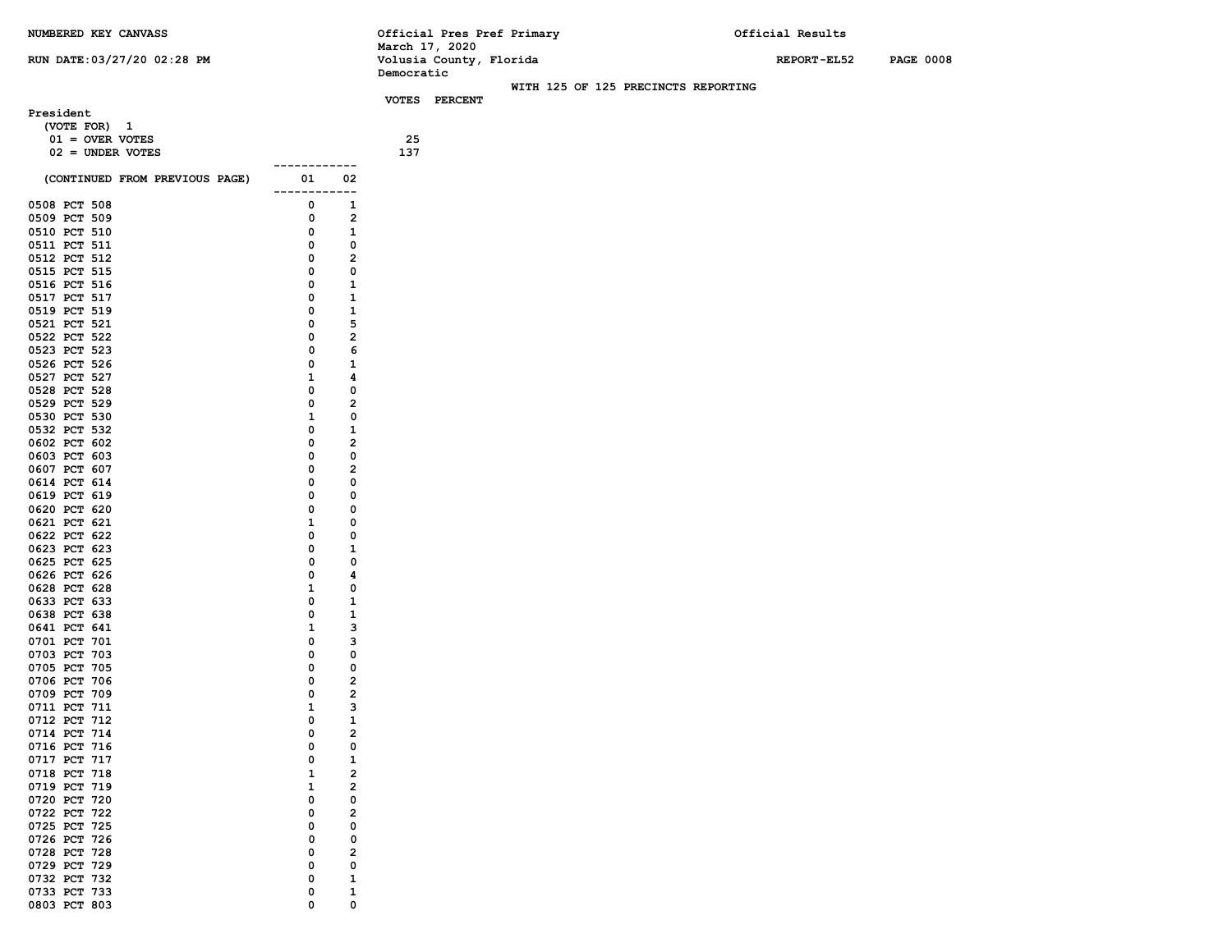## **NUMBERED KEY CANVASS**

**President**

## **RUN DATE:03/27/20 02:28 PM**

| NUMBERED KEY CANVASS              | Official Pres Pref Primary          | Official Results                |
|-----------------------------------|-------------------------------------|---------------------------------|
|                                   | March 17, 2020                      |                                 |
| <b>RUN DATE:03/27/20 02:28 PM</b> | Volusia County, Florida             | <b>PAGE 0008</b><br>REPORT-EL52 |
|                                   | Democratic                          |                                 |
|                                   | WITH 125 OF 125 PRECINCTS REPORTING |                                 |
|                                   | <b>VOTES</b><br>PERCENT             |                                 |
| President                         |                                     |                                 |
| (VOTE FOR) 1                      |                                     |                                 |
| $01 =$ OVER VOTES                 | 25                                  |                                 |
| $02 =$ UNDER VOTES                | 137                                 |                                 |
|                                   |                                     |                                 |

| (CONTINUED FROM PREVIOUS PAGE) | 01           | 02                      |  |
|--------------------------------|--------------|-------------------------|--|
| PCT<br>508<br>0508             | 0            | 1                       |  |
| 0509<br>PCT<br>509             | 0            | $\overline{\mathbf{c}}$ |  |
| 0510<br>PCT<br>510             | 0            | 1                       |  |
| 0511<br>PCT<br>511             | 0            | 0                       |  |
| 0512<br>PCT<br>512             | 0            | 2                       |  |
| 0515<br>PCT<br>515             | 0            | 0                       |  |
| 0516<br>PCT<br>516             | 0            | 1                       |  |
| 0517<br>PCT<br>517             | 0            | 1                       |  |
| 0519 PCT<br>519                | 0            | 1                       |  |
| 0521<br>PCT<br>521             | 0            | 5                       |  |
| 0522<br>PCT<br>522             | 0            | 2                       |  |
| 0523 PCT<br>523                | 0            | 6                       |  |
| 0526<br>526<br>PCT             | 0            | 1                       |  |
| 0527<br>PCT<br>527             | 1            | 4                       |  |
| 0528 PCT<br>528                | 0            | 0                       |  |
| 0529<br>529<br>PCT             | 0            | 2                       |  |
| 0530<br>PCT<br>530             | $\mathbf{1}$ | 0                       |  |
| 0532<br>PCT<br>532             | 0            | 1                       |  |
| 0602<br>PCT<br>602             | 0            | 2                       |  |
| 0603<br>PCT<br>603             | 0            | 0                       |  |
| 0607<br>PCT<br>607             | 0            | 2                       |  |
| 0614<br><b>PCT</b><br>614      | 0            | 0                       |  |
| 0619<br>PCT<br>619             | 0            | 0                       |  |
| 0620 PCT<br>620                | 0            | 0                       |  |
| 0621<br><b>PCT</b><br>621      | 1            | 0                       |  |
| 0622<br>622<br>PCT             | 0            | 0                       |  |
| 0623 PCT<br>623                | 0            | 1                       |  |
| 0625<br>PCT<br>625             | 0            | 0                       |  |
| 0626<br>626<br>PCT             | 0            | 4                       |  |
| 0628 PCT<br>628                | 1            | 0                       |  |
| 0633<br>PCT<br>633             | 0            | 1                       |  |
| 0638<br>PCT<br>638             | 0            | 1                       |  |
| 0641<br>PCT<br>641             | 1            | 3                       |  |
| 0701<br>PCT<br>701             | 0            | 3                       |  |
| 0703<br>PCT<br>703             | 0            | 0                       |  |
| 0705<br>PCT<br>705             | 0            | 0                       |  |
| 0706<br>PCT<br>706             | 0            | 2                       |  |
| 0709<br>PCT<br>709             | 0            | 2                       |  |
| 0711<br>PCT<br>711             | 1            | 3                       |  |
| 0712<br><b>PCT</b><br>712      | 0            | 1                       |  |
| 0714<br>PCT<br>714             | 0            | 2                       |  |
| 0716<br>PCT<br>716             | 0            | 0                       |  |
| 0717<br>PCT<br>717             | 0            | 1                       |  |
| 0718<br>PCT<br>718             | 1            | $\overline{a}$          |  |
| 0719<br>PCT<br>719             | 1            | 2                       |  |
| 0720<br>PCT<br>720             | 0            | 0                       |  |
| 0722<br>PCT<br>722             | 0            | 2                       |  |
| 0725<br>725<br>PCT             | 0            | 0                       |  |
| 0726<br>PCT<br>726             | 0            | 0                       |  |
| 0728<br>PCT<br>728             | 0            | 2                       |  |
| 0729<br>729<br>PCT<br>732      | 0<br>0       | 0<br>1                  |  |
| 0732<br>PCT                    |              |                         |  |
| 0733<br>PCT<br>733             | 0<br>0       | 1<br>0                  |  |
| 0803<br>PCT<br>803             |              |                         |  |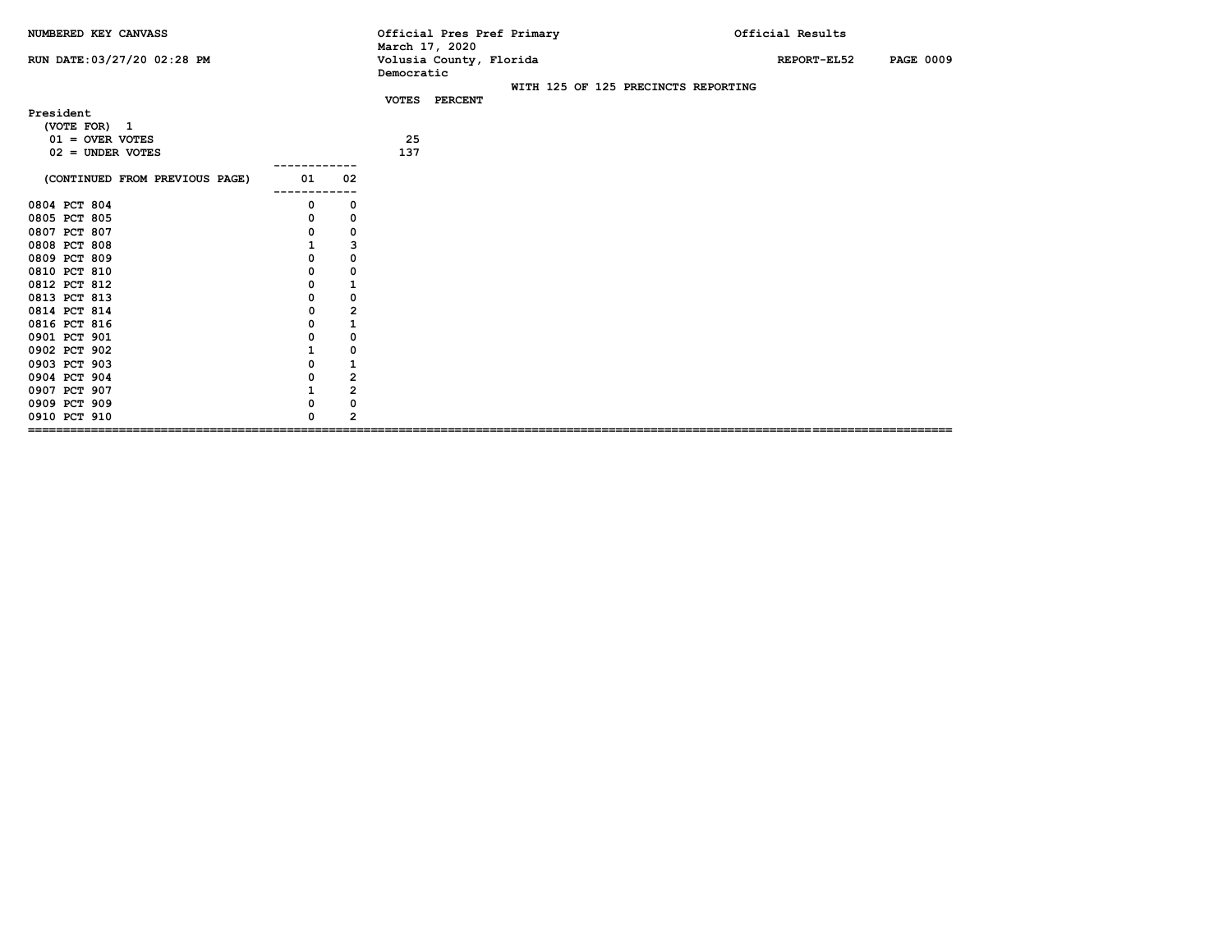| NUMBERED KEY CANVASS                                                                                                                                                                         |                                                                                                                                                    | Official Pres Pref Primary<br>March 17, 2020         | Official Results                |
|----------------------------------------------------------------------------------------------------------------------------------------------------------------------------------------------|----------------------------------------------------------------------------------------------------------------------------------------------------|------------------------------------------------------|---------------------------------|
| RUN DATE: 03/27/20 02:28 PM                                                                                                                                                                  |                                                                                                                                                    | Volusia County, Florida<br>Democratic                | <b>PAGE 0009</b><br>REPORT-EL52 |
|                                                                                                                                                                                              |                                                                                                                                                    | WITH 125 OF 125 PRECINCTS REPORTING<br>VOTES PERCENT |                                 |
| President<br>(VOTE FOR) 1<br>$01 =$ OVER VOTES<br>$02 =$ UNDER VOTES                                                                                                                         |                                                                                                                                                    | 25<br>137                                            |                                 |
| (CONTINUED FROM PREVIOUS PAGE)                                                                                                                                                               | 01<br>02                                                                                                                                           |                                                      |                                 |
| 0804 PCT 804<br>0805 PCT 805<br>0807 PCT 807<br>0808 PCT 808<br>0809 PCT 809<br>0810 PCT 810<br>0812 PCT 812<br>0813 PCT 813<br>0814 PCT 814<br>0816 PCT 816<br>0901 PCT 901<br>0902 PCT 902 | 0<br>0<br>0<br>0<br>$\mathbf 0$<br>0<br>3<br>0<br>0<br>0<br>0<br>$\mathbf 1$<br>0<br>0<br>0<br>$\mathbf 2$<br>0<br>$\mathbf 1$<br>0<br>0<br>0<br>0 |                                                      |                                 |
| 0903 PCT 903<br>0904 PCT 904<br>0907 PCT 907<br>0909 PCT 909<br>0910 PCT 910                                                                                                                 | 1<br>0<br>$\mathbf{2}$<br>Ω<br>$\mathbf 2$<br>1<br>0<br>0<br>$\overline{2}$<br>$\Omega$                                                            |                                                      |                                 |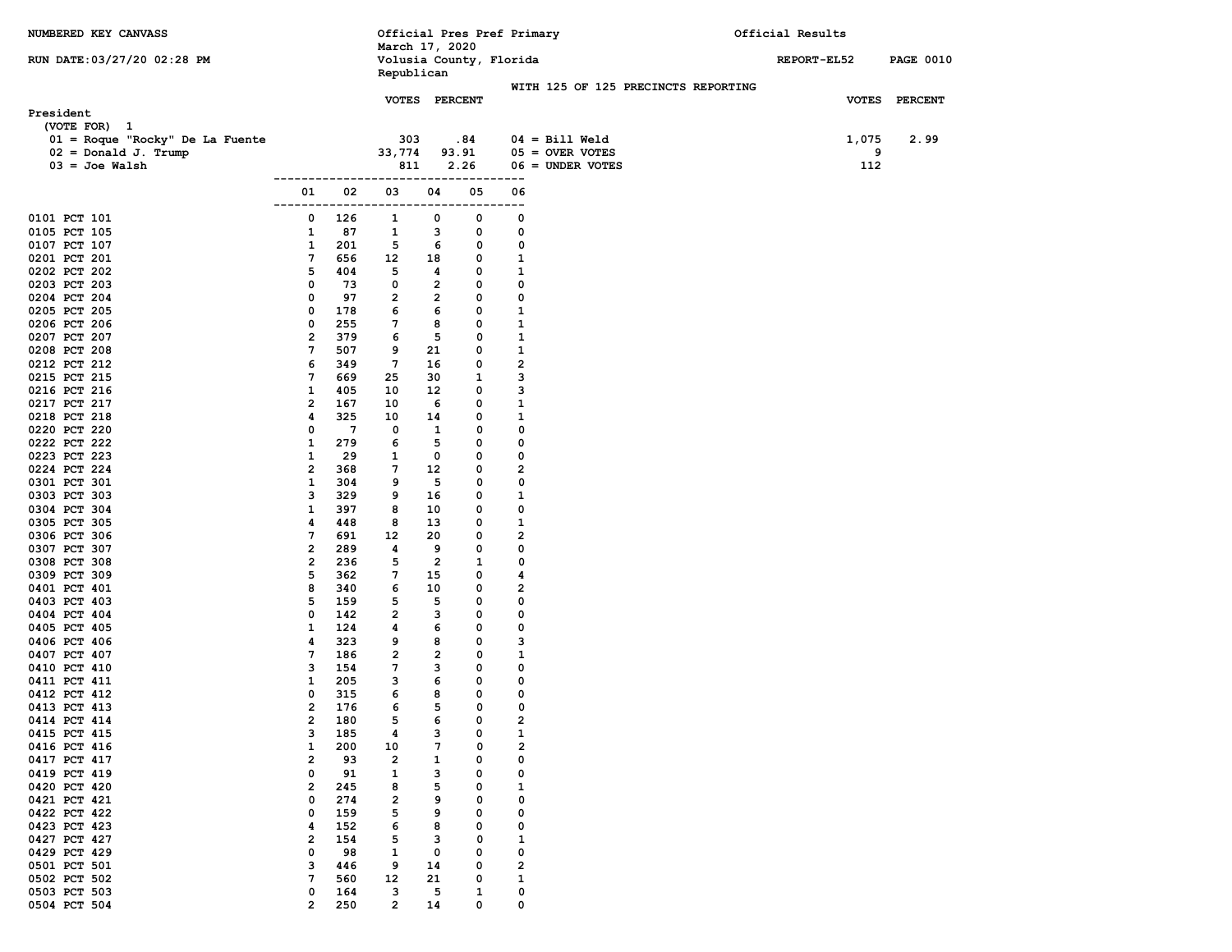| NUMBERED KEY CANVASS                            |                                  |            | March 17, 2020                        |                     |                   | Official Pres Pref Primary |                                         |  | Official Results |          |                  |
|-------------------------------------------------|----------------------------------|------------|---------------------------------------|---------------------|-------------------|----------------------------|-----------------------------------------|--|------------------|----------|------------------|
| RUN DATE: 03/27/20 02:28 PM                     |                                  |            | Volusia County, Florida<br>Republican |                     |                   |                            |                                         |  | REPORT-EL52      |          | <b>PAGE 0010</b> |
|                                                 |                                  |            | VOTES PERCENT                         |                     |                   |                            | WITH 125 OF 125 PRECINCTS REPORTING     |  |                  |          | VOTES PERCENT    |
| President                                       |                                  |            |                                       |                     |                   |                            |                                         |  |                  |          |                  |
| (VOTE FOR) 1<br>01 = Roque "Rocky" De La Fuente |                                  |            | 303                                   |                     | .84               |                            | $04 = \text{Bill Well}$                 |  |                  | 1,075    | 2.99             |
| $02 = Donald J. Trump$<br>$03 =$ Joe Walsh      |                                  |            | 33,774<br>811                         |                     | 93.91<br>2.26     |                            | $05 =$ OVER VOTES<br>$06 =$ UNDER VOTES |  |                  | 9<br>112 |                  |
|                                                 |                                  |            |                                       |                     |                   | ---                        |                                         |  |                  |          |                  |
|                                                 | 01<br>--------                   | 02         | 03<br>------------------------        | 04                  | 05                | 06<br>$- -$                |                                         |  |                  |          |                  |
| 0101 PCT 101                                    | 0                                | 126        | 1                                     | 0                   | 0                 | 0                          |                                         |  |                  |          |                  |
| 0105 PCT 105                                    | 1<br>1                           | 87<br>201  | $\mathbf{1}$<br>5                     | з                   | 0<br>0            | 0<br>0                     |                                         |  |                  |          |                  |
| 0107 PCT 107<br>0201 PCT 201                    | $7\phantom{.0}$                  | 656        | $12 \overline{ }$                     | 6<br>18             | 0                 | $\mathbf{1}$               |                                         |  |                  |          |                  |
| 0202 PCT 202                                    | 5                                | 404        | 5                                     | 4                   | 0                 | 1                          |                                         |  |                  |          |                  |
| 0203 PCT 203                                    | 0                                | 73         | $\mathbf{o}$                          | $\overline{2}$      | 0                 | 0                          |                                         |  |                  |          |                  |
| 0204 PCT 204                                    | 0                                | 97         | $\overline{2}$                        | $\overline{2}$      | 0                 | 0                          |                                         |  |                  |          |                  |
| 0205 PCT 205                                    | 0                                | 178        | 6                                     | 6                   | 0                 | $\mathbf{1}$               |                                         |  |                  |          |                  |
| 0206 PCT 206                                    | 0                                | 255        | 7                                     | 8                   | 0                 | $\mathbf{1}$               |                                         |  |                  |          |                  |
| 0207 PCT 207<br>0208 PCT 208                    | $\overline{\mathbf{2}}$<br>7     | 379<br>507 | 6<br>9                                | 5<br>21             | 0<br>0            | 1<br>$\mathbf{1}$          |                                         |  |                  |          |                  |
| 0212 PCT 212                                    | 6                                | 349        | $7\phantom{.0}$                       | 16                  | 0                 | $\overline{\mathbf{2}}$    |                                         |  |                  |          |                  |
| 0215 PCT 215                                    | 7                                | 669        | 25                                    | 30                  | $\mathbf{1}$      | 3                          |                                         |  |                  |          |                  |
| 0216 PCT 216                                    | 1                                | 405        | 10                                    | 12                  | 0                 | з                          |                                         |  |                  |          |                  |
| 0217 PCT 217                                    | 2                                | 167        | 10                                    | - 6                 | 0                 | $\mathbf{1}$               |                                         |  |                  |          |                  |
| 0218 PCT 218                                    | 4                                | 325        | 10                                    | 14                  | 0                 | $\mathbf{1}$               |                                         |  |                  |          |                  |
| 0220 PCT 220                                    | 0                                | 7          | 0                                     | $\mathbf{1}$        | 0                 | 0                          |                                         |  |                  |          |                  |
| 0222 PCT 222<br>0223 PCT 223                    | 1<br>1                           | 279<br>29  | 6<br>1                                | 5<br>0              | 0<br>0            | 0<br>0                     |                                         |  |                  |          |                  |
| 0224 PCT 224                                    | $\overline{2}$                   | 368        | 7                                     | 12                  | 0                 | $\overline{\mathbf{2}}$    |                                         |  |                  |          |                  |
| 0301 PCT 301                                    | $\mathbf{1}$                     | 304        | 9                                     | 5                   | 0                 | 0                          |                                         |  |                  |          |                  |
| 0303 PCT 303                                    | 3                                | 329        | 9                                     | 16                  | 0                 | $\mathbf{1}$               |                                         |  |                  |          |                  |
| 0304 PCT 304                                    | 1                                | 397        | 8                                     | 10                  | 0                 | 0                          |                                         |  |                  |          |                  |
| 0305 PCT 305                                    | 4                                | 448        | 8                                     | 13                  | 0                 | 1                          |                                         |  |                  |          |                  |
| 0306 PCT 306                                    | 7                                | 691        | 12                                    | 20                  | 0                 | $\overline{\mathbf{2}}$    |                                         |  |                  |          |                  |
| 0307 PCT 307<br>0308 PCT 308                    | $\overline{2}$<br>$\overline{2}$ | 289<br>236 | 4<br>5                                | 9<br>$\overline{2}$ | 0<br>$\mathbf{1}$ | 0<br>0                     |                                         |  |                  |          |                  |
| 0309 PCT 309                                    | 5                                | 362        | 7                                     | 15                  | 0                 | 4                          |                                         |  |                  |          |                  |
| 0401 PCT 401                                    | 8                                | 340        | 6                                     | 10                  | 0                 | $\overline{\mathbf{2}}$    |                                         |  |                  |          |                  |
| 0403 PCT 403                                    | 5                                | 159        | 5                                     | 5                   | 0                 | 0                          |                                         |  |                  |          |                  |
| 0404 PCT 404                                    | 0                                | 142        | $\overline{2}$                        | 3                   | 0                 | 0                          |                                         |  |                  |          |                  |
| 0405 PCT 405                                    | 1                                | 124        | 4                                     | 6                   | 0                 | 0                          |                                         |  |                  |          |                  |
| 0406 PCT 406<br>0407 PCT 407                    | 4<br>7                           | 323<br>186 | 9<br>$\overline{2}$                   | 8<br>$\overline{2}$ | 0<br>0            | з<br>$\mathbf{1}$          |                                         |  |                  |          |                  |
| 0410 PCT 410                                    | з                                | 154        | 7                                     | 3                   | 0                 | 0                          |                                         |  |                  |          |                  |
| 0411 PCT 411                                    | 1                                | 205        | 3                                     | 6                   | 0                 | 0                          |                                         |  |                  |          |                  |
| 0412 PCT 412                                    | 0                                | 315        | 6                                     | 8                   | 0                 | 0                          |                                         |  |                  |          |                  |
| 0413 PCT 413                                    | 2                                | 176        | 6                                     | 5                   | $\Omega$          | 0                          |                                         |  |                  |          |                  |
| 0414 PCT 414                                    | 2                                | 180        | 5                                     | 6                   | 0                 | 2                          |                                         |  |                  |          |                  |
| 0415 PCT 415                                    | з                                | 185        | 4                                     | з                   | 0                 | $\mathbf{1}$               |                                         |  |                  |          |                  |
| 0416 PCT 416<br>0417 PCT 417                    | 1<br>2                           | 200<br>93  | 10<br>$\overline{2}$                  | 7<br>1              | 0<br>0            | 2<br>0                     |                                         |  |                  |          |                  |
| 0419 PCT 419                                    | 0                                | 91         | $\mathbf{1}$                          | з                   | 0                 | 0                          |                                         |  |                  |          |                  |
| 0420 PCT 420                                    | $\mathbf{2}$                     | 245        | 8                                     | 5                   | 0                 | 1                          |                                         |  |                  |          |                  |
| 0421 PCT 421                                    | 0                                | 274        | $\overline{\mathbf{2}}$               | 9                   | 0                 | 0                          |                                         |  |                  |          |                  |
| 0422 PCT 422                                    | 0                                | 159        | 5                                     | 9                   | 0                 | 0                          |                                         |  |                  |          |                  |
| 0423 PCT 423                                    | 4                                | 152        | 6                                     | 8                   | 0                 | 0                          |                                         |  |                  |          |                  |
| 0427 PCT 427<br>0429 PCT 429                    | 2<br>0                           | 154        | 5                                     | з                   | 0<br>0            | 1<br>0                     |                                         |  |                  |          |                  |
| 0501 PCT 501                                    | з                                | 98<br>446  | 1<br>9                                | 0<br>14             | 0                 | 2                          |                                         |  |                  |          |                  |
| 0502 PCT 502                                    | 7                                | 560        | 12                                    | 21                  | 0                 | 1                          |                                         |  |                  |          |                  |
| 0503 PCT 503                                    | 0                                | 164        | з                                     | 5                   | 1                 | 0                          |                                         |  |                  |          |                  |
| 0504 PCT 504                                    | $\overline{2}$                   | 250        | $\mathbf{2}$                          | 14                  | 0                 | 0                          |                                         |  |                  |          |                  |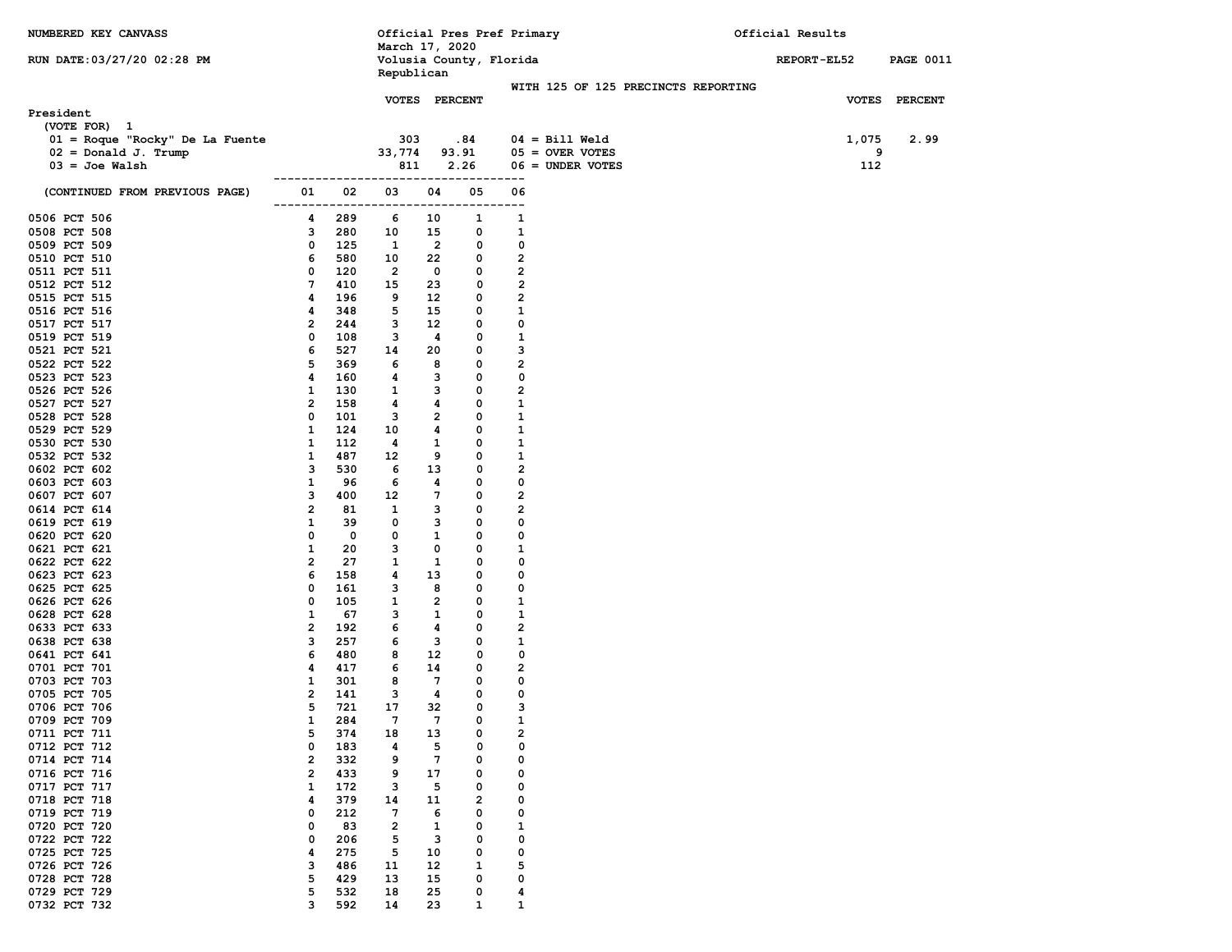| NUMBERED KEY CANVASS                                                          |                                |            | March 17, 2020            |                    | Official Pres Pref Primary   |                                                    |                                                                    | Official Results   |                  |
|-------------------------------------------------------------------------------|--------------------------------|------------|---------------------------|--------------------|------------------------------|----------------------------------------------------|--------------------------------------------------------------------|--------------------|------------------|
| RUN DATE: 03/27/20 02:28 PM                                                   |                                |            | Republican                |                    | Volusia County, Florida      |                                                    |                                                                    | <b>REPORT-EL52</b> | <b>PAGE 0011</b> |
|                                                                               |                                |            | VOTES PERCENT             |                    |                              |                                                    | WITH 125 OF 125 PRECINCTS REPORTING                                |                    | VOTES PERCENT    |
| President<br>(VOTE FOR) 1                                                     |                                |            |                           |                    |                              |                                                    |                                                                    |                    |                  |
| 01 = Roque "Rocky" De La Fuente<br>$02 = Donald J. Trump$<br>$03 =$ Joe Walsh |                                |            | 303<br>33,774<br>811      |                    | .84<br>93.91<br>2.26         |                                                    | $04 = \text{Bill Well}$<br>$05 =$ OVER VOTES<br>$06 =$ UNDER VOTES | 1,075<br>9<br>112  | 2.99             |
| (CONTINUED FROM PREVIOUS PAGE)                                                | 01                             | 02         | 03                        | 04                 | ---------<br>05              | 06                                                 |                                                                    |                    |                  |
| 0506 PCT 506                                                                  | 4                              | 289        | --------------------<br>6 | 10                 | . _ _ _ _ _ _ _ _ _ _ _<br>1 | ---<br>1                                           |                                                                    |                    |                  |
| 0508 PCT 508                                                                  | 3                              | 280        | 10                        | 15                 | 0                            | 1                                                  |                                                                    |                    |                  |
| 0509 PCT 509                                                                  | 0                              | 125        | <sup>1</sup>              | $\overline{2}$     | 0                            | 0                                                  |                                                                    |                    |                  |
| 0510 PCT 510<br>0511 PCT 511                                                  | 6<br>0                         | 580<br>120 | 10<br>$\overline{2}$      | 22<br>$\mathbf{o}$ | 0<br>0                       | $\overline{\mathbf{2}}$<br>$\overline{\mathbf{2}}$ |                                                                    |                    |                  |
| 0512 PCT 512                                                                  | 7                              | 410        | 15                        | 23                 | $\mathbf{o}$                 | $\overline{\mathbf{c}}$                            |                                                                    |                    |                  |
| 0515 PCT 515                                                                  | 4                              | 196        | 9                         | $12 \overline{ }$  | 0                            | $\overline{2}$                                     |                                                                    |                    |                  |
| 0516 PCT 516                                                                  | 4                              | 348        | 5                         | 15                 | 0                            | $\mathbf{1}$                                       |                                                                    |                    |                  |
| 0517 PCT 517                                                                  | $\overline{2}$                 | 244        | 3                         | 12                 | 0                            | 0                                                  |                                                                    |                    |                  |
| 0519 PCT 519                                                                  | 0                              | 108        | 3                         | 4                  | 0                            | $\mathbf{1}$                                       |                                                                    |                    |                  |
| 0521 PCT 521<br>0522 PCT 522                                                  | 6<br>5                         | 527<br>369 | 14<br>6                   | 20<br>8            | 0<br>0                       | з<br>$\overline{\mathbf{2}}$                       |                                                                    |                    |                  |
| 0523 PCT 523                                                                  | 4                              | 160        | 4                         | 3                  | 0                            | 0                                                  |                                                                    |                    |                  |
| 0526 PCT 526                                                                  | 1                              | 130        | 1                         | 3                  | 0                            | $\overline{2}$                                     |                                                                    |                    |                  |
| 0527 PCT 527                                                                  | 2                              | 158        | 4                         | 4                  | 0                            | $\mathbf{1}$                                       |                                                                    |                    |                  |
| 0528 PCT 528                                                                  | 0                              | 101        | 3                         | $\overline{2}$     | 0                            | $\mathbf{1}$                                       |                                                                    |                    |                  |
| 0529 PCT 529                                                                  | 1                              | 124        | 10                        | 4                  | 0                            | 1                                                  |                                                                    |                    |                  |
| 0530 PCT 530                                                                  | 1                              | 112        | 4                         | $\mathbf{1}$       | 0                            | $\mathbf{1}$                                       |                                                                    |                    |                  |
| 0532 PCT 532<br>0602 PCT 602                                                  | $\mathbf{1}$<br>3              | 487<br>530 | 12<br>6                   | 9<br>13            | 0<br>0                       | $\mathbf{1}$<br>$\overline{\mathbf{c}}$            |                                                                    |                    |                  |
| 0603 PCT 603                                                                  | 1                              | 96         | 6                         | 4                  | 0                            | 0                                                  |                                                                    |                    |                  |
| 0607 PCT 607                                                                  | з                              | 400        | 12                        | $7\phantom{.0}$    | 0                            | $\overline{\mathbf{2}}$                            |                                                                    |                    |                  |
| 0614 PCT 614                                                                  | $\overline{2}$                 | 81         | 1                         | 3                  | 0                            | $\overline{2}$                                     |                                                                    |                    |                  |
| 0619 PCT 619                                                                  | $\mathbf{1}$                   | 39         | 0                         | 3                  | 0                            | 0                                                  |                                                                    |                    |                  |
| 0620 PCT 620                                                                  | 0                              | 0          | 0                         | $\mathbf{1}$       | 0                            | 0                                                  |                                                                    |                    |                  |
| 0621 PCT 621<br>0622 PCT 622                                                  | $\mathbf{1}$<br>$\overline{2}$ | 20<br>27   | 3<br>1                    | 0<br>1             | 0<br>0                       | 1<br>0                                             |                                                                    |                    |                  |
| 0623 PCT 623                                                                  | 6                              | 158        | 4                         | 13                 | 0                            | 0                                                  |                                                                    |                    |                  |
| 0625 PCT 625                                                                  | 0                              | 161        | 3                         | 8                  | 0                            | 0                                                  |                                                                    |                    |                  |
| 0626 PCT 626                                                                  | 0                              | 105        | 1                         | $\overline{2}$     | 0                            | $\mathbf{1}$                                       |                                                                    |                    |                  |
| 0628 PCT 628                                                                  | $\mathbf{1}$                   | 67         | 3                         | 1                  | 0                            | 1                                                  |                                                                    |                    |                  |
| 0633 PCT 633                                                                  | $\overline{2}$                 | 192        | 6                         | 4                  | 0                            | $\overline{\mathbf{2}}$                            |                                                                    |                    |                  |
| 0638 PCT 638<br>0641 PCT 641                                                  | з<br>6                         | 257<br>480 | 6<br>8                    | 3<br>$12 \,$       | 0<br>0                       | $\mathbf{1}$<br>0                                  |                                                                    |                    |                  |
| 0701 PCT 701                                                                  | 4                              | 417        | 6                         | 14                 | 0                            | $\overline{2}$                                     |                                                                    |                    |                  |
| 0703 PCT 703                                                                  | 1                              | 301        | 8                         | $7\phantom{.0}$    | 0                            | 0                                                  |                                                                    |                    |                  |
| 0705 PCT 705                                                                  | $\overline{\mathbf{2}}$        | 141        | 3                         | 4                  | 0                            | 0                                                  |                                                                    |                    |                  |
| 0706 PCT 706                                                                  | 5                              | 721        | 17                        | 32                 | 0                            | з                                                  |                                                                    |                    |                  |
| 0709 PCT 709                                                                  | 1                              | 284        | 7                         | 7                  | 0                            | 1                                                  |                                                                    |                    |                  |
| 0711 PCT 711<br>0712 PCT 712                                                  | 5<br>0                         | 374<br>183 | 18                        | 13<br>5            | 0<br>0                       | $\overline{\mathbf{2}}$                            |                                                                    |                    |                  |
| 0714 PCT 714                                                                  | 2                              | 332        | 4<br>9                    | $7\phantom{.0}$    | 0                            | 0<br>0                                             |                                                                    |                    |                  |
| 0716 PCT 716                                                                  | $\overline{2}$                 | 433        | 9                         | 17                 | 0                            | 0                                                  |                                                                    |                    |                  |
| 0717 PCT 717                                                                  | 1                              | 172        | з                         | 5                  | 0                            | 0                                                  |                                                                    |                    |                  |
| 0718 PCT 718                                                                  | 4                              | 379        | 14                        | 11                 | $\overline{\mathbf{2}}$      | 0                                                  |                                                                    |                    |                  |
| 0719 PCT 719                                                                  | 0                              | 212        | 7                         | 6                  | 0                            | 0                                                  |                                                                    |                    |                  |
| 0720 PCT 720                                                                  | 0                              | 83         | 2                         | 1                  | 0                            | 1                                                  |                                                                    |                    |                  |
| 0722 PCT 722<br>0725 PCT 725                                                  | 0<br>4                         | 206<br>275 | 5<br>5                    | 3<br>10            | 0<br>0                       | 0<br>0                                             |                                                                    |                    |                  |
| 0726 PCT 726                                                                  | з                              | 486        | 11                        | 12                 | 1                            | 5                                                  |                                                                    |                    |                  |
| 0728 PCT 728                                                                  | 5                              | 429        | 13                        | 15                 | 0                            | 0                                                  |                                                                    |                    |                  |
| 0729 PCT 729                                                                  | 5                              | 532        | 18                        | 25                 | 0                            | 4                                                  |                                                                    |                    |                  |
| 0732 PCT 732                                                                  | 3                              | 592        | 14                        | 23                 | $\mathbf{1}$                 | 1                                                  |                                                                    |                    |                  |